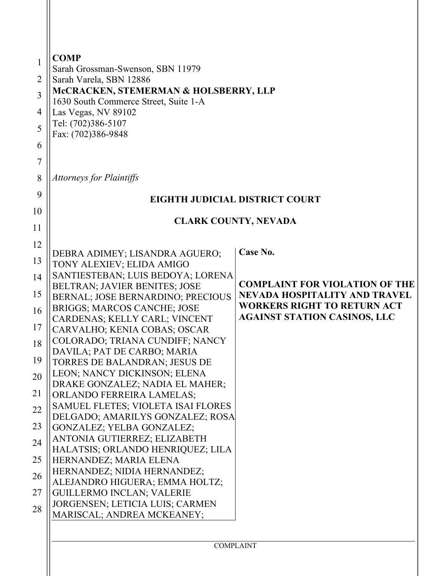| 1<br>$\overline{2}$<br>3<br>4<br>5<br>6<br>7 | <b>COMP</b><br>Sarah Grossman-Swenson, SBN 11979<br>Sarah Varela, SBN 12886<br>McCRACKEN, STEMERMAN & HOLSBERRY, LLP<br>1630 South Commerce Street, Suite 1-A<br>Las Vegas, NV 89102<br>Tel: (702)386-5107<br>Fax: (702)386-9848 |                                                                               |  |  |
|----------------------------------------------|----------------------------------------------------------------------------------------------------------------------------------------------------------------------------------------------------------------------------------|-------------------------------------------------------------------------------|--|--|
| 8                                            | <b>Attorneys for Plaintiffs</b>                                                                                                                                                                                                  |                                                                               |  |  |
| 9                                            | EIGHTH JUDICIAL DISTRICT COURT                                                                                                                                                                                                   |                                                                               |  |  |
| 10                                           |                                                                                                                                                                                                                                  |                                                                               |  |  |
| 11                                           | <b>CLARK COUNTY, NEVADA</b>                                                                                                                                                                                                      |                                                                               |  |  |
| 12                                           |                                                                                                                                                                                                                                  |                                                                               |  |  |
| 13                                           | DEBRA ADIMEY; LISANDRA AGUERO;<br>TONY ALEXIEV; ELIDA AMIGO                                                                                                                                                                      | Case No.                                                                      |  |  |
| 14                                           | SANTIESTEBAN; LUIS BEDOYA; LORENA                                                                                                                                                                                                |                                                                               |  |  |
| 15                                           | BELTRAN; JAVIER BENITES; JOSE                                                                                                                                                                                                    | <b>COMPLAINT FOR VIOLATION OF THE</b><br><b>NEVADA HOSPITALITY AND TRAVEL</b> |  |  |
| 16                                           | BERNAL; JOSE BERNARDINO; PRECIOUS<br>BRIGGS; MARCOS CANCHE; JOSE                                                                                                                                                                 | <b>WORKERS RIGHT TO RETURN ACT</b>                                            |  |  |
|                                              | CARDENAS; KELLY CARL; VINCENT                                                                                                                                                                                                    | <b>AGAINST STATION CASINOS, LLC</b>                                           |  |  |
| 17                                           | CARVALHO; KENIA COBAS; OSCAR<br>COLORADO; TRIANA CUNDIFF; NANCY                                                                                                                                                                  |                                                                               |  |  |
| 18                                           | DAVILA; PAT DE CARBO; MARIA                                                                                                                                                                                                      |                                                                               |  |  |
| 19                                           | TORRES DE BALANDRAN; JESUS DE                                                                                                                                                                                                    |                                                                               |  |  |
| 20                                           | LEON; NANCY DICKINSON; ELENA<br>DRAKE GONZALEZ; NADIA EL MAHER;                                                                                                                                                                  |                                                                               |  |  |
| 21                                           | <b>ORLANDO FERREIRA LAMELAS;</b>                                                                                                                                                                                                 |                                                                               |  |  |
| 22                                           | SAMUEL FLETES; VIOLETA ISAI FLORES                                                                                                                                                                                               |                                                                               |  |  |
| 23                                           | DELGADO; AMARILYS GONZALEZ; ROSA<br>GONZALEZ; YELBA GONZALEZ;                                                                                                                                                                    |                                                                               |  |  |
| 24                                           | ANTONIA GUTIERREZ; ELIZABETH                                                                                                                                                                                                     |                                                                               |  |  |
| 25                                           | HALATSIS; ORLANDO HENRIQUEZ; LILA                                                                                                                                                                                                |                                                                               |  |  |
|                                              | HERNANDEZ; MARIA ELENA<br>HERNANDEZ; NIDIA HERNANDEZ;                                                                                                                                                                            |                                                                               |  |  |
| 26                                           | ALEJANDRO HIGUERA; EMMA HOLTZ;                                                                                                                                                                                                   |                                                                               |  |  |
| 27                                           | <b>GUILLERMO INCLAN; VALERIE</b><br>JORGENSEN; LETICIA LUIS; CARMEN                                                                                                                                                              |                                                                               |  |  |
| 28                                           | MARISCAL; ANDREA MCKEANEY;                                                                                                                                                                                                       |                                                                               |  |  |
|                                              | <b>COMPLAINT</b>                                                                                                                                                                                                                 |                                                                               |  |  |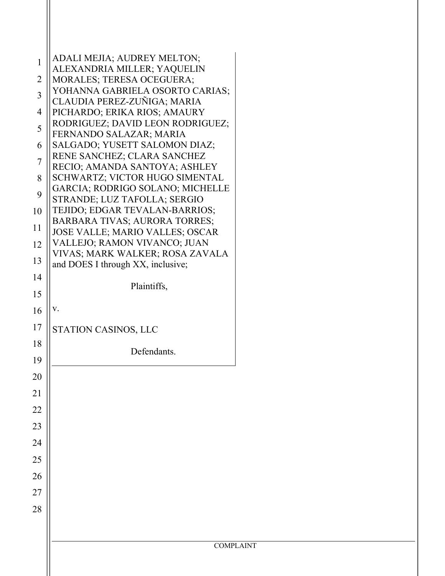| $\mathbf{1}$   | <b>ADALI MEJIA; AUDREY MELTON;</b><br>ALEXANDRIA MILLER; YAQUELIN              |  |  |
|----------------|--------------------------------------------------------------------------------|--|--|
| $\overline{2}$ | MORALES; TERESA OCEGUERA;                                                      |  |  |
| $\overline{3}$ | YOHANNA GABRIELA OSORTO CARIAS;                                                |  |  |
|                | CLAUDIA PEREZ-ZUÑIGA; MARIA                                                    |  |  |
| $\overline{4}$ | PICHARDO; ERIKA RIOS; AMAURY                                                   |  |  |
| 5              | RODRIGUEZ; DAVID LEON RODRIGUEZ;<br>FERNANDO SALAZAR; MARIA                    |  |  |
| 6              | SALGADO; YUSETT SALOMON DIAZ;                                                  |  |  |
| 7              | RENE SANCHEZ; CLARA SANCHEZ                                                    |  |  |
|                | RECIO; AMANDA SANTOYA; ASHLEY                                                  |  |  |
| 8              | SCHWARTZ; VICTOR HUGO SIMENTAL<br><b>GARCIA; RODRIGO SOLANO; MICHELLE</b>      |  |  |
| 9              | STRANDE; LUZ TAFOLLA; SERGIO                                                   |  |  |
| 10             | TEJIDO; EDGAR TEVALAN-BARRIOS;                                                 |  |  |
| 11             | <b>BARBARA TIVAS; AURORA TORRES;</b><br><b>JOSE VALLE; MARIO VALLES; OSCAR</b> |  |  |
| 12             | VALLEJO; RAMON VIVANCO; JUAN                                                   |  |  |
|                | VIVAS; MARK WALKER; ROSA ZAVALA                                                |  |  |
| 13             | and DOES I through XX, inclusive;                                              |  |  |
| 14             | Plaintiffs,                                                                    |  |  |
| 15             |                                                                                |  |  |
| 16             | V.                                                                             |  |  |
| 17             | STATION CASINOS, LLC                                                           |  |  |
| 18             | Defendants.                                                                    |  |  |
| 19             |                                                                                |  |  |
| 20             |                                                                                |  |  |
| 21             |                                                                                |  |  |
| 22             |                                                                                |  |  |
| 23             |                                                                                |  |  |
| 24             |                                                                                |  |  |
| 25             |                                                                                |  |  |
| 26             |                                                                                |  |  |
| $27\,$         |                                                                                |  |  |
| 28             |                                                                                |  |  |
|                |                                                                                |  |  |
|                |                                                                                |  |  |
|                | <b>COMPLAINT</b>                                                               |  |  |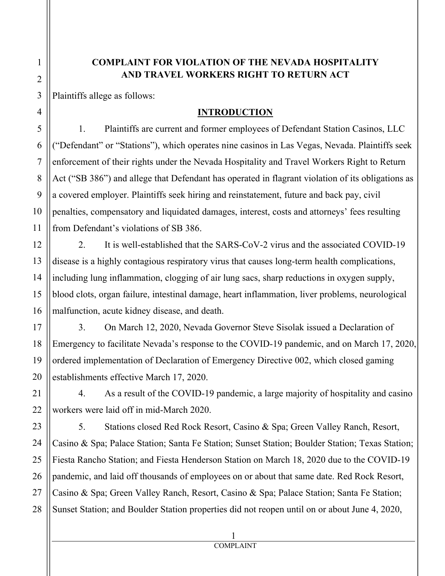# **COMPLAINT FOR VIOLATION OF THE NEVADA HOSPITALITY AND TRAVEL WORKERS RIGHT TO RETURN ACT**

Plaintiffs allege as follows:

### **INTRODUCTION**

1. Plaintiffs are current and former employees of Defendant Station Casinos, LLC ("Defendant" or "Stations"), which operates nine casinos in Las Vegas, Nevada. Plaintiffs seek enforcement of their rights under the Nevada Hospitality and Travel Workers Right to Return Act ("SB 386") and allege that Defendant has operated in flagrant violation of its obligations as a covered employer. Plaintiffs seek hiring and reinstatement, future and back pay, civil penalties, compensatory and liquidated damages, interest, costs and attorneys' fees resulting from Defendant's violations of SB 386.

2. It is well-established that the SARS-CoV-2 virus and the associated COVID-19 disease is a highly contagious respiratory virus that causes long-term health complications, including lung inflammation, clogging of air lung sacs, sharp reductions in oxygen supply, blood clots, organ failure, intestinal damage, heart inflammation, liver problems, neurological malfunction, acute kidney disease, and death.

3. On March 12, 2020, Nevada Governor Steve Sisolak issued a Declaration of Emergency to facilitate Nevada's response to the COVID-19 pandemic, and on March 17, 2020, ordered implementation of Declaration of Emergency Directive 002, which closed gaming establishments effective March 17, 2020.

4. As a result of the COVID-19 pandemic, a large majority of hospitality and casino workers were laid off in mid-March 2020.

5. Stations closed Red Rock Resort, Casino & Spa; Green Valley Ranch, Resort, Casino & Spa; Palace Station; Santa Fe Station; Sunset Station; Boulder Station; Texas Station; Fiesta Rancho Station; and Fiesta Henderson Station on March 18, 2020 due to the COVID-19 pandemic, and laid off thousands of employees on or about that same date. Red Rock Resort, Casino & Spa; Green Valley Ranch, Resort, Casino & Spa; Palace Station; Santa Fe Station; Sunset Station; and Boulder Station properties did not reopen until on or about June 4, 2020,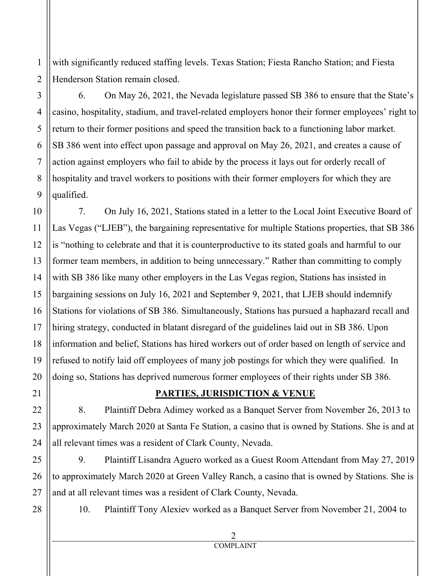with significantly reduced staffing levels. Texas Station; Fiesta Rancho Station; and Fiesta Henderson Station remain closed.

6. On May 26, 2021, the Nevada legislature passed SB 386 to ensure that the State's casino, hospitality, stadium, and travel-related employers honor their former employees' right to return to their former positions and speed the transition back to a functioning labor market. SB 386 went into effect upon passage and approval on May 26, 2021, and creates a cause of action against employers who fail to abide by the process it lays out for orderly recall of hospitality and travel workers to positions with their former employers for which they are qualified.

7. On July 16, 2021, Stations stated in a letter to the Local Joint Executive Board of Las Vegas ("LJEB"), the bargaining representative for multiple Stations properties, that SB 386 is "nothing to celebrate and that it is counterproductive to its stated goals and harmful to our former team members, in addition to being unnecessary." Rather than committing to comply with SB 386 like many other employers in the Las Vegas region, Stations has insisted in bargaining sessions on July 16, 2021 and September 9, 2021, that LJEB should indemnify Stations for violations of SB 386. Simultaneously, Stations has pursued a haphazard recall and hiring strategy, conducted in blatant disregard of the guidelines laid out in SB 386. Upon information and belief, Stations has hired workers out of order based on length of service and refused to notify laid off employees of many job postings for which they were qualified. In doing so, Stations has deprived numerous former employees of their rights under SB 386.

### **PARTIES, JURISDICTION & VENUE**

8. Plaintiff Debra Adimey worked as a Banquet Server from November 26, 2013 to approximately March 2020 at Santa Fe Station, a casino that is owned by Stations. She is and at all relevant times was a resident of Clark County, Nevada.

9. Plaintiff Lisandra Aguero worked as a Guest Room Attendant from May 27, 2019 to approximately March 2020 at Green Valley Ranch, a casino that is owned by Stations. She is and at all relevant times was a resident of Clark County, Nevada.

10. Plaintiff Tony Alexiev worked as a Banquet Server from November 21, 2004 to

#### 2 COMPLAINT

1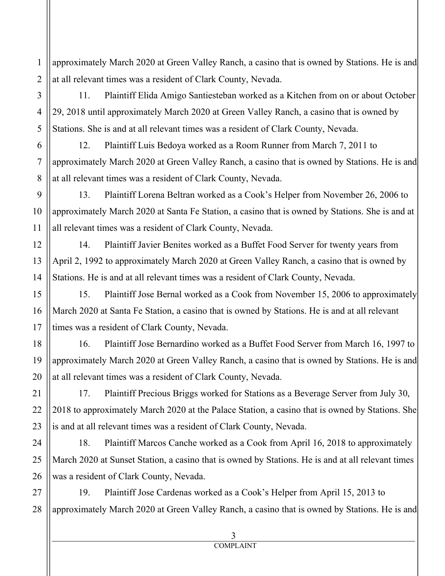approximately March 2020 at Green Valley Ranch, a casino that is owned by Stations. He is and at all relevant times was a resident of Clark County, Nevada.

11. Plaintiff Elida Amigo Santiesteban worked as a Kitchen from on or about October 29, 2018 until approximately March 2020 at Green Valley Ranch, a casino that is owned by Stations. She is and at all relevant times was a resident of Clark County, Nevada.

12. Plaintiff Luis Bedoya worked as a Room Runner from March 7, 2011 to approximately March 2020 at Green Valley Ranch, a casino that is owned by Stations. He is and at all relevant times was a resident of Clark County, Nevada.

13. Plaintiff Lorena Beltran worked as a Cook's Helper from November 26, 2006 to approximately March 2020 at Santa Fe Station, a casino that is owned by Stations. She is and at all relevant times was a resident of Clark County, Nevada.

14. Plaintiff Javier Benites worked as a Buffet Food Server for twenty years from April 2, 1992 to approximately March 2020 at Green Valley Ranch, a casino that is owned by Stations. He is and at all relevant times was a resident of Clark County, Nevada.

15. Plaintiff Jose Bernal worked as a Cook from November 15, 2006 to approximately March 2020 at Santa Fe Station, a casino that is owned by Stations. He is and at all relevant times was a resident of Clark County, Nevada.

16. Plaintiff Jose Bernardino worked as a Buffet Food Server from March 16, 1997 to approximately March 2020 at Green Valley Ranch, a casino that is owned by Stations. He is and at all relevant times was a resident of Clark County, Nevada.

17. Plaintiff Precious Briggs worked for Stations as a Beverage Server from July 30, 2018 to approximately March 2020 at the Palace Station, a casino that is owned by Stations. She is and at all relevant times was a resident of Clark County, Nevada.

18. Plaintiff Marcos Canche worked as a Cook from April 16, 2018 to approximately March 2020 at Sunset Station, a casino that is owned by Stations. He is and at all relevant times was a resident of Clark County, Nevada.

19. Plaintiff Jose Cardenas worked as a Cook's Helper from April 15, 2013 to approximately March 2020 at Green Valley Ranch, a casino that is owned by Stations. He is and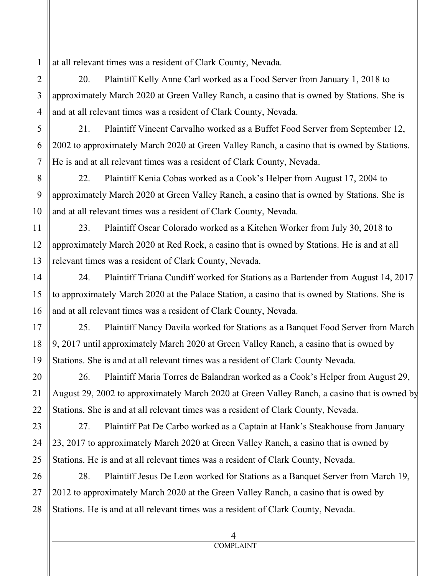at all relevant times was a resident of Clark County, Nevada.

1

2

3

4

5

6

7

8

9

10

11

12

13

14

15

16

17

18

19

20

21

22

23

24

25

26

27

28

20. Plaintiff Kelly Anne Carl worked as a Food Server from January 1, 2018 to approximately March 2020 at Green Valley Ranch, a casino that is owned by Stations. She is and at all relevant times was a resident of Clark County, Nevada.

21. Plaintiff Vincent Carvalho worked as a Buffet Food Server from September 12, 2002 to approximately March 2020 at Green Valley Ranch, a casino that is owned by Stations. He is and at all relevant times was a resident of Clark County, Nevada.

22. Plaintiff Kenia Cobas worked as a Cook's Helper from August 17, 2004 to approximately March 2020 at Green Valley Ranch, a casino that is owned by Stations. She is and at all relevant times was a resident of Clark County, Nevada.

23. Plaintiff Oscar Colorado worked as a Kitchen Worker from July 30, 2018 to approximately March 2020 at Red Rock, a casino that is owned by Stations. He is and at all relevant times was a resident of Clark County, Nevada.

24. Plaintiff Triana Cundiff worked for Stations as a Bartender from August 14, 2017 to approximately March 2020 at the Palace Station, a casino that is owned by Stations. She is and at all relevant times was a resident of Clark County, Nevada.

25. Plaintiff Nancy Davila worked for Stations as a Banquet Food Server from March 9, 2017 until approximately March 2020 at Green Valley Ranch, a casino that is owned by Stations. She is and at all relevant times was a resident of Clark County Nevada.

26. Plaintiff Maria Torres de Balandran worked as a Cook's Helper from August 29, August 29, 2002 to approximately March 2020 at Green Valley Ranch, a casino that is owned by Stations. She is and at all relevant times was a resident of Clark County, Nevada.

27. Plaintiff Pat De Carbo worked as a Captain at Hank's Steakhouse from January 23, 2017 to approximately March 2020 at Green Valley Ranch, a casino that is owned by Stations. He is and at all relevant times was a resident of Clark County, Nevada.

28. Plaintiff Jesus De Leon worked for Stations as a Banquet Server from March 19, 2012 to approximately March 2020 at the Green Valley Ranch, a casino that is owed by Stations. He is and at all relevant times was a resident of Clark County, Nevada.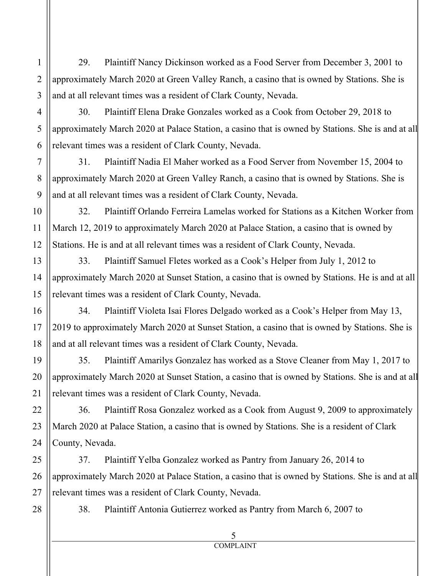29. Plaintiff Nancy Dickinson worked as a Food Server from December 3, 2001 to approximately March 2020 at Green Valley Ranch, a casino that is owned by Stations. She is and at all relevant times was a resident of Clark County, Nevada.

30. Plaintiff Elena Drake Gonzales worked as a Cook from October 29, 2018 to approximately March 2020 at Palace Station, a casino that is owned by Stations. She is and at all relevant times was a resident of Clark County, Nevada.

31. Plaintiff Nadia El Maher worked as a Food Server from November 15, 2004 to approximately March 2020 at Green Valley Ranch, a casino that is owned by Stations. She is and at all relevant times was a resident of Clark County, Nevada.

32. Plaintiff Orlando Ferreira Lamelas worked for Stations as a Kitchen Worker from March 12, 2019 to approximately March 2020 at Palace Station, a casino that is owned by Stations. He is and at all relevant times was a resident of Clark County, Nevada.

33. Plaintiff Samuel Fletes worked as a Cook's Helper from July 1, 2012 to approximately March 2020 at Sunset Station, a casino that is owned by Stations. He is and at all relevant times was a resident of Clark County, Nevada.

34. Plaintiff Violeta Isai Flores Delgado worked as a Cook's Helper from May 13, 2019 to approximately March 2020 at Sunset Station, a casino that is owned by Stations. She is and at all relevant times was a resident of Clark County, Nevada.

35. Plaintiff Amarilys Gonzalez has worked as a Stove Cleaner from May 1, 2017 to approximately March 2020 at Sunset Station, a casino that is owned by Stations. She is and at all relevant times was a resident of Clark County, Nevada.

36. Plaintiff Rosa Gonzalez worked as a Cook from August 9, 2009 to approximately March 2020 at Palace Station, a casino that is owned by Stations. She is a resident of Clark County, Nevada.

37. Plaintiff Yelba Gonzalez worked as Pantry from January 26, 2014 to approximately March 2020 at Palace Station, a casino that is owned by Stations. She is and at all relevant times was a resident of Clark County, Nevada.

38. Plaintiff Antonia Gutierrez worked as Pantry from March 6, 2007 to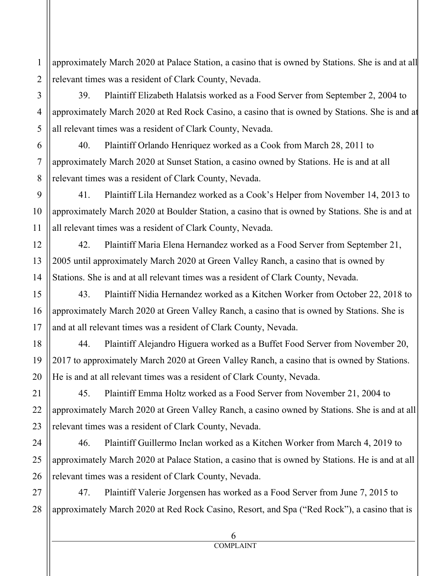approximately March 2020 at Palace Station, a casino that is owned by Stations. She is and at all relevant times was a resident of Clark County, Nevada.

39. Plaintiff Elizabeth Halatsis worked as a Food Server from September 2, 2004 to approximately March 2020 at Red Rock Casino, a casino that is owned by Stations. She is and at all relevant times was a resident of Clark County, Nevada.

40. Plaintiff Orlando Henriquez worked as a Cook from March 28, 2011 to approximately March 2020 at Sunset Station, a casino owned by Stations. He is and at all relevant times was a resident of Clark County, Nevada.

41. Plaintiff Lila Hernandez worked as a Cook's Helper from November 14, 2013 to approximately March 2020 at Boulder Station, a casino that is owned by Stations. She is and at all relevant times was a resident of Clark County, Nevada.

42. Plaintiff Maria Elena Hernandez worked as a Food Server from September 21, 2005 until approximately March 2020 at Green Valley Ranch, a casino that is owned by Stations. She is and at all relevant times was a resident of Clark County, Nevada.

43. Plaintiff Nidia Hernandez worked as a Kitchen Worker from October 22, 2018 to approximately March 2020 at Green Valley Ranch, a casino that is owned by Stations. She is and at all relevant times was a resident of Clark County, Nevada.

44. Plaintiff Alejandro Higuera worked as a Buffet Food Server from November 20, 2017 to approximately March 2020 at Green Valley Ranch, a casino that is owned by Stations. He is and at all relevant times was a resident of Clark County, Nevada.

45. Plaintiff Emma Holtz worked as a Food Server from November 21, 2004 to approximately March 2020 at Green Valley Ranch, a casino owned by Stations. She is and at all relevant times was a resident of Clark County, Nevada.

46. Plaintiff Guillermo Inclan worked as a Kitchen Worker from March 4, 2019 to approximately March 2020 at Palace Station, a casino that is owned by Stations. He is and at all relevant times was a resident of Clark County, Nevada.

27 28 47. Plaintiff Valerie Jorgensen has worked as a Food Server from June 7, 2015 to approximately March 2020 at Red Rock Casino, Resort, and Spa ("Red Rock"), a casino that is

1

2

3

4

5

6

7

8

9

10

11

12

13

14

15

16

17

18

19

20

21

22

23

24

25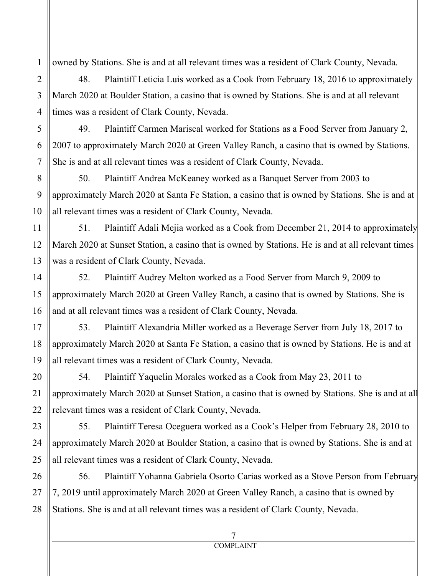owned by Stations. She is and at all relevant times was a resident of Clark County, Nevada.

48. Plaintiff Leticia Luis worked as a Cook from February 18, 2016 to approximately March 2020 at Boulder Station, a casino that is owned by Stations. She is and at all relevant times was a resident of Clark County, Nevada.

49. Plaintiff Carmen Mariscal worked for Stations as a Food Server from January 2, 2007 to approximately March 2020 at Green Valley Ranch, a casino that is owned by Stations. She is and at all relevant times was a resident of Clark County, Nevada.

50. Plaintiff Andrea McKeaney worked as a Banquet Server from 2003 to approximately March 2020 at Santa Fe Station, a casino that is owned by Stations. She is and at all relevant times was a resident of Clark County, Nevada.

51. Plaintiff Adali Mejia worked as a Cook from December 21, 2014 to approximately March 2020 at Sunset Station, a casino that is owned by Stations. He is and at all relevant times was a resident of Clark County, Nevada.

52. Plaintiff Audrey Melton worked as a Food Server from March 9, 2009 to approximately March 2020 at Green Valley Ranch, a casino that is owned by Stations. She is and at all relevant times was a resident of Clark County, Nevada.

53. Plaintiff Alexandria Miller worked as a Beverage Server from July 18, 2017 to approximately March 2020 at Santa Fe Station, a casino that is owned by Stations. He is and at all relevant times was a resident of Clark County, Nevada.

54. Plaintiff Yaquelin Morales worked as a Cook from May 23, 2011 to approximately March 2020 at Sunset Station, a casino that is owned by Stations. She is and at all relevant times was a resident of Clark County, Nevada.

55. Plaintiff Teresa Oceguera worked as a Cook's Helper from February 28, 2010 to approximately March 2020 at Boulder Station, a casino that is owned by Stations. She is and at all relevant times was a resident of Clark County, Nevada.

56. Plaintiff Yohanna Gabriela Osorto Carias worked as a Stove Person from February 7, 2019 until approximately March 2020 at Green Valley Ranch, a casino that is owned by Stations. She is and at all relevant times was a resident of Clark County, Nevada.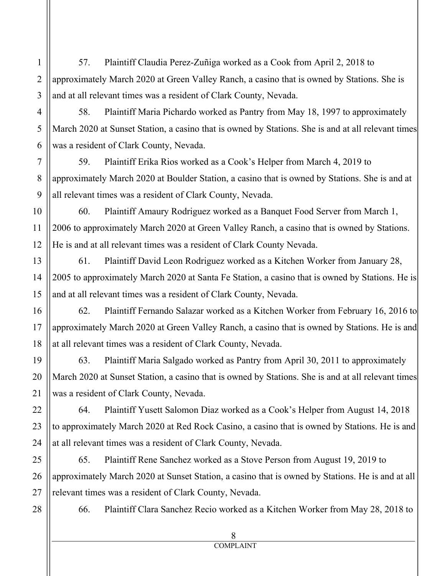57. Plaintiff Claudia Perez-Zuñiga worked as a Cook from April 2, 2018 to approximately March 2020 at Green Valley Ranch, a casino that is owned by Stations. She is and at all relevant times was a resident of Clark County, Nevada.

58. Plaintiff Maria Pichardo worked as Pantry from May 18, 1997 to approximately March 2020 at Sunset Station, a casino that is owned by Stations. She is and at all relevant times was a resident of Clark County, Nevada.

59. Plaintiff Erika Rios worked as a Cook's Helper from March 4, 2019 to approximately March 2020 at Boulder Station, a casino that is owned by Stations. She is and at all relevant times was a resident of Clark County, Nevada.

60. Plaintiff Amaury Rodriguez worked as a Banquet Food Server from March 1, 2006 to approximately March 2020 at Green Valley Ranch, a casino that is owned by Stations. He is and at all relevant times was a resident of Clark County Nevada.

61. Plaintiff David Leon Rodriguez worked as a Kitchen Worker from January 28, 2005 to approximately March 2020 at Santa Fe Station, a casino that is owned by Stations. He is and at all relevant times was a resident of Clark County, Nevada.

62. Plaintiff Fernando Salazar worked as a Kitchen Worker from February 16, 2016 to approximately March 2020 at Green Valley Ranch, a casino that is owned by Stations. He is and at all relevant times was a resident of Clark County, Nevada.

63. Plaintiff Maria Salgado worked as Pantry from April 30, 2011 to approximately March 2020 at Sunset Station, a casino that is owned by Stations. She is and at all relevant times was a resident of Clark County, Nevada.

64. Plaintiff Yusett Salomon Diaz worked as a Cook's Helper from August 14, 2018 to approximately March 2020 at Red Rock Casino, a casino that is owned by Stations. He is and at all relevant times was a resident of Clark County, Nevada.

65. Plaintiff Rene Sanchez worked as a Stove Person from August 19, 2019 to approximately March 2020 at Sunset Station, a casino that is owned by Stations. He is and at all relevant times was a resident of Clark County, Nevada.

28

1

2

3

4

5

6

7

8

9

10

11

12

13

14

15

16

17

18

19

20

21

22

23

24

25

26

27

66. Plaintiff Clara Sanchez Recio worked as a Kitchen Worker from May 28, 2018 to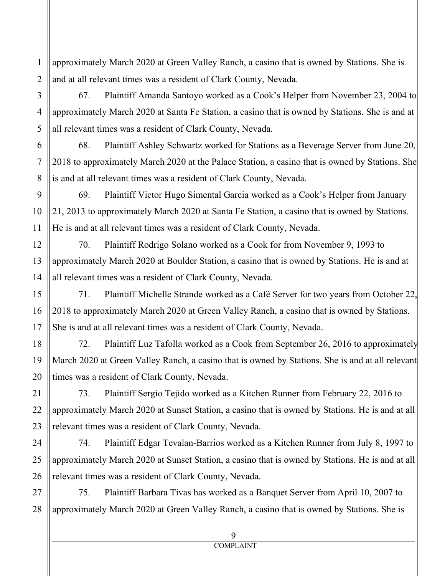approximately March 2020 at Green Valley Ranch, a casino that is owned by Stations. She is and at all relevant times was a resident of Clark County, Nevada.

67. Plaintiff Amanda Santoyo worked as a Cook's Helper from November 23, 2004 to approximately March 2020 at Santa Fe Station, a casino that is owned by Stations. She is and at all relevant times was a resident of Clark County, Nevada.

68. Plaintiff Ashley Schwartz worked for Stations as a Beverage Server from June 20, 2018 to approximately March 2020 at the Palace Station, a casino that is owned by Stations. She is and at all relevant times was a resident of Clark County, Nevada.

69. Plaintiff Victor Hugo Simental Garcia worked as a Cook's Helper from January 21, 2013 to approximately March 2020 at Santa Fe Station, a casino that is owned by Stations. He is and at all relevant times was a resident of Clark County, Nevada.

70. Plaintiff Rodrigo Solano worked as a Cook for from November 9, 1993 to approximately March 2020 at Boulder Station, a casino that is owned by Stations. He is and at all relevant times was a resident of Clark County, Nevada.

71. Plaintiff Michelle Strande worked as a Café Server for two years from October 22, 2018 to approximately March 2020 at Green Valley Ranch, a casino that is owned by Stations. She is and at all relevant times was a resident of Clark County, Nevada.

72. Plaintiff Luz Tafolla worked as a Cook from September 26, 2016 to approximately March 2020 at Green Valley Ranch, a casino that is owned by Stations. She is and at all relevant times was a resident of Clark County, Nevada.

73. Plaintiff Sergio Tejido worked as a Kitchen Runner from February 22, 2016 to approximately March 2020 at Sunset Station, a casino that is owned by Stations. He is and at all relevant times was a resident of Clark County, Nevada.

74. Plaintiff Edgar Tevalan-Barrios worked as a Kitchen Runner from July 8, 1997 to approximately March 2020 at Sunset Station, a casino that is owned by Stations. He is and at all relevant times was a resident of Clark County, Nevada.

75. Plaintiff Barbara Tivas has worked as a Banquet Server from April 10, 2007 to approximately March 2020 at Green Valley Ranch, a casino that is owned by Stations. She is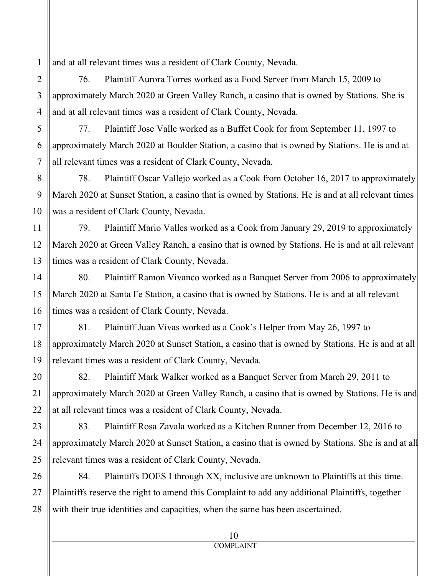and at all relevant times was a resident of Clark County, Nevada.

76. Plaintiff Aurora Torres worked as a Food Server from March 15, 2009 to approximately March 2020 at Green Valley Ranch, a casino that is owned by Stations. She is and at all relevant times was a resident of Clark County, Nevada.

77. Plaintiff Jose Valle worked as a Buffet Cook for from September 11, 1997 to approximately March 2020 at Boulder Station, a casino that is owned by Stations. He is and at all relevant times was a resident of Clark County, Nevada.

78. Plaintiff Oscar Vallejo worked as a Cook from October 16, 2017 to approximately March 2020 at Sunset Station, a casino that is owned by Stations. He is and at all relevant times was a resident of Clark County, Nevada.

79. Plaintiff Mario Valles worked as a Cook from January 29, 2019 to approximately March 2020 at Green Valley Ranch, a casino that is owned by Stations. He is and at all relevant times was a resident of Clark County, Nevada.

80. Plaintiff Ramon Vivanco worked as a Banquet Server from 2006 to approximately March 2020 at Santa Fe Station, a casino that is owned by Stations. He is and at all relevant times was a resident of Clark County, Nevada.

81. Plaintiff Juan Vivas worked as a Cook's Helper from May 26, 1997 to approximately March 2020 at Sunset Station, a casino that is owned by Stations. He is and at all relevant times was a resident of Clark County, Nevada.

82. Plaintiff Mark Walker worked as a Banquet Server from March 29, 2011 to approximately March 2020 at Green Valley Ranch, a casino that is owned by Stations. He is and at all relevant times was a resident of Clark County, Nevada.

83. Plaintiff Rosa Zavala worked as a Kitchen Runner from December 12, 2016 to approximately March 2020 at Sunset Station, a casino that is owned by Stations. She is and at all relevant times was a resident of Clark County, Nevada.

84. Plaintiffs DOES I through XX, inclusive are unknown to Plaintiffs at this time. Plaintiffs reserve the right to amend this Complaint to add any additional Plaintiffs, together with their true identities and capacities, when the same has been ascertained.

1

2

3

4

5

6

7

8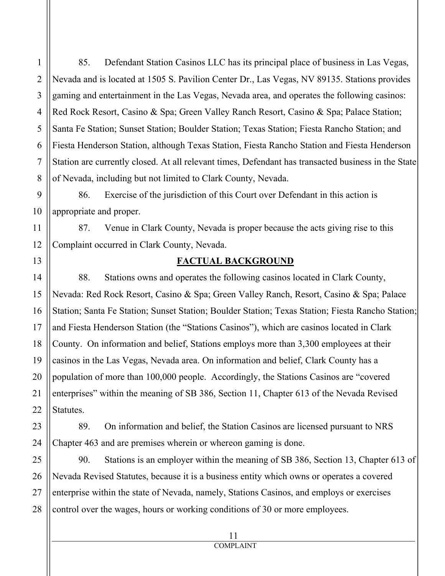85. Defendant Station Casinos LLC has its principal place of business in Las Vegas, Nevada and is located at 1505 S. Pavilion Center Dr., Las Vegas, NV 89135. Stations provides gaming and entertainment in the Las Vegas, Nevada area, and operates the following casinos: Red Rock Resort, Casino & Spa; Green Valley Ranch Resort, Casino & Spa; Palace Station; Santa Fe Station; Sunset Station; Boulder Station; Texas Station; Fiesta Rancho Station; and Fiesta Henderson Station, although Texas Station, Fiesta Rancho Station and Fiesta Henderson Station are currently closed. At all relevant times, Defendant has transacted business in the State of Nevada, including but not limited to Clark County, Nevada.

86. Exercise of the jurisdiction of this Court over Defendant in this action is appropriate and proper.

87. Venue in Clark County, Nevada is proper because the acts giving rise to this Complaint occurred in Clark County, Nevada.

### **FACTUAL BACKGROUND**

88. Stations owns and operates the following casinos located in Clark County, Nevada: Red Rock Resort, Casino & Spa; Green Valley Ranch, Resort, Casino & Spa; Palace Station; Santa Fe Station; Sunset Station; Boulder Station; Texas Station; Fiesta Rancho Station; and Fiesta Henderson Station (the "Stations Casinos"), which are casinos located in Clark County. On information and belief, Stations employs more than 3,300 employees at their casinos in the Las Vegas, Nevada area. On information and belief, Clark County has a population of more than 100,000 people. Accordingly, the Stations Casinos are "covered enterprises" within the meaning of SB 386, Section 11, Chapter 613 of the Nevada Revised Statutes.

89. On information and belief, the Station Casinos are licensed pursuant to NRS Chapter 463 and are premises wherein or whereon gaming is done.

90. Stations is an employer within the meaning of SB 386, Section 13, Chapter 613 of Nevada Revised Statutes, because it is a business entity which owns or operates a covered enterprise within the state of Nevada, namely, Stations Casinos, and employs or exercises control over the wages, hours or working conditions of 30 or more employees.

1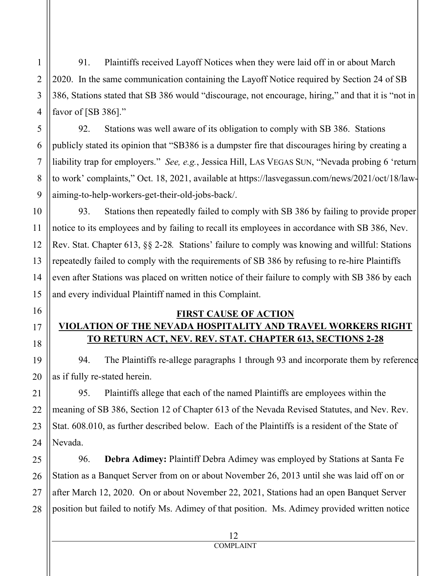91. Plaintiffs received Layoff Notices when they were laid off in or about March 2020. In the same communication containing the Layoff Notice required by Section 24 of SB 386, Stations stated that SB 386 would "discourage, not encourage, hiring," and that it is "not in favor of [SB 386]."

92. Stations was well aware of its obligation to comply with SB 386. Stations publicly stated its opinion that "SB386 is a dumpster fire that discourages hiring by creating a liability trap for employers." *See, e.g.*, Jessica Hill, LAS VEGAS SUN, "Nevada probing 6 'return to work' complaints," Oct. 18, 2021, available at https://lasvegassun.com/news/2021/oct/18/lawaiming-to-help-workers-get-their-old-jobs-back/.

93. Stations then repeatedly failed to comply with SB 386 by failing to provide proper notice to its employees and by failing to recall its employees in accordance with SB 386, Nev. Rev. Stat. Chapter 613, §§ 2-28*.* Stations' failure to comply was knowing and willful: Stations repeatedly failed to comply with the requirements of SB 386 by refusing to re-hire Plaintiffs even after Stations was placed on written notice of their failure to comply with SB 386 by each and every individual Plaintiff named in this Complaint.

## **FIRST CAUSE OF ACTION VIOLATION OF THE NEVADA HOSPITALITY AND TRAVEL WORKERS RIGHT TO RETURN ACT, NEV. REV. STAT. CHAPTER 613, SECTIONS 2-28**

94. The Plaintiffs re-allege paragraphs 1 through 93 and incorporate them by reference as if fully re-stated herein.

95. Plaintiffs allege that each of the named Plaintiffs are employees within the meaning of SB 386, Section 12 of Chapter 613 of the Nevada Revised Statutes, and Nev. Rev. Stat. 608.010, as further described below. Each of the Plaintiffs is a resident of the State of Nevada.

96. **Debra Adimey:** Plaintiff Debra Adimey was employed by Stations at Santa Fe Station as a Banquet Server from on or about November 26, 2013 until she was laid off on or after March 12, 2020. On or about November 22, 2021, Stations had an open Banquet Server position but failed to notify Ms. Adimey of that position. Ms. Adimey provided written notice

1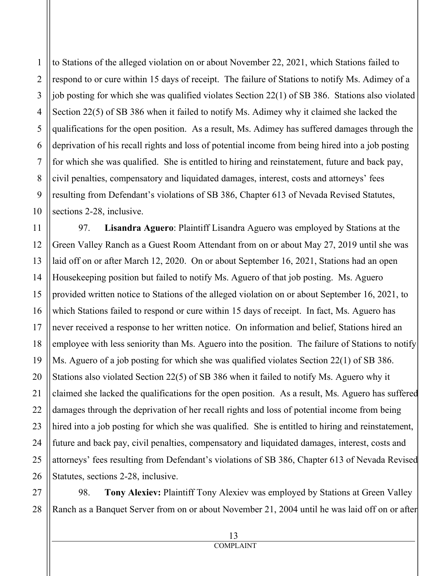to Stations of the alleged violation on or about November 22, 2021, which Stations failed to respond to or cure within 15 days of receipt. The failure of Stations to notify Ms. Adimey of a job posting for which she was qualified violates Section 22(1) of SB 386. Stations also violated Section 22(5) of SB 386 when it failed to notify Ms. Adimey why it claimed she lacked the qualifications for the open position. As a result, Ms. Adimey has suffered damages through the deprivation of his recall rights and loss of potential income from being hired into a job posting for which she was qualified. She is entitled to hiring and reinstatement, future and back pay, civil penalties, compensatory and liquidated damages, interest, costs and attorneys' fees resulting from Defendant's violations of SB 386, Chapter 613 of Nevada Revised Statutes, sections 2-28, inclusive.

97. **Lisandra Aguero**: Plaintiff Lisandra Aguero was employed by Stations at the Green Valley Ranch as a Guest Room Attendant from on or about May 27, 2019 until she was laid off on or after March 12, 2020. On or about September 16, 2021, Stations had an open Housekeeping position but failed to notify Ms. Aguero of that job posting. Ms. Aguero provided written notice to Stations of the alleged violation on or about September 16, 2021, to which Stations failed to respond or cure within 15 days of receipt. In fact, Ms. Aguero has never received a response to her written notice. On information and belief, Stations hired an employee with less seniority than Ms. Aguero into the position. The failure of Stations to notify Ms. Aguero of a job posting for which she was qualified violates Section 22(1) of SB 386. Stations also violated Section 22(5) of SB 386 when it failed to notify Ms. Aguero why it claimed she lacked the qualifications for the open position. As a result, Ms. Aguero has suffered damages through the deprivation of her recall rights and loss of potential income from being hired into a job posting for which she was qualified. She is entitled to hiring and reinstatement, future and back pay, civil penalties, compensatory and liquidated damages, interest, costs and attorneys' fees resulting from Defendant's violations of SB 386, Chapter 613 of Nevada Revised Statutes, sections 2-28, inclusive.

98. **Tony Alexiev:** Plaintiff Tony Alexiev was employed by Stations at Green Valley Ranch as a Banquet Server from on or about November 21, 2004 until he was laid off on or after

1

2

3

4

5

6

7

8

9

10

11

12

13

14

15

16

17

18

19

20

21

22

23

24

25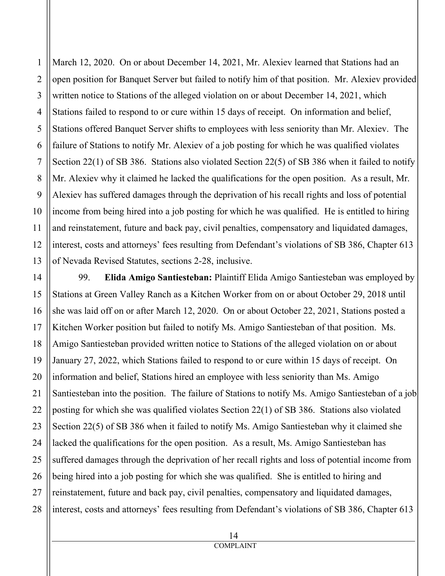1 2 3 4 5 6 7 March 12, 2020. On or about December 14, 2021, Mr. Alexiev learned that Stations had an open position for Banquet Server but failed to notify him of that position. Mr. Alexiev provided written notice to Stations of the alleged violation on or about December 14, 2021, which Stations failed to respond to or cure within 15 days of receipt. On information and belief, Stations offered Banquet Server shifts to employees with less seniority than Mr. Alexiev. The failure of Stations to notify Mr. Alexiev of a job posting for which he was qualified violates Section 22(1) of SB 386. Stations also violated Section 22(5) of SB 386 when it failed to notify Mr. Alexiev why it claimed he lacked the qualifications for the open position. As a result, Mr. Alexiev has suffered damages through the deprivation of his recall rights and loss of potential income from being hired into a job posting for which he was qualified. He is entitled to hiring and reinstatement, future and back pay, civil penalties, compensatory and liquidated damages, interest, costs and attorneys' fees resulting from Defendant's violations of SB 386, Chapter 613 of Nevada Revised Statutes, sections 2-28, inclusive.

99. **Elida Amigo Santiesteban:** Plaintiff Elida Amigo Santiesteban was employed by Stations at Green Valley Ranch as a Kitchen Worker from on or about October 29, 2018 until she was laid off on or after March 12, 2020. On or about October 22, 2021, Stations posted a Kitchen Worker position but failed to notify Ms. Amigo Santiesteban of that position. Ms. Amigo Santiesteban provided written notice to Stations of the alleged violation on or about January 27, 2022, which Stations failed to respond to or cure within 15 days of receipt. On information and belief, Stations hired an employee with less seniority than Ms. Amigo Santiesteban into the position. The failure of Stations to notify Ms. Amigo Santiesteban of a job posting for which she was qualified violates Section 22(1) of SB 386. Stations also violated Section 22(5) of SB 386 when it failed to notify Ms. Amigo Santiesteban why it claimed she lacked the qualifications for the open position. As a result, Ms. Amigo Santiesteban has suffered damages through the deprivation of her recall rights and loss of potential income from being hired into a job posting for which she was qualified. She is entitled to hiring and reinstatement, future and back pay, civil penalties, compensatory and liquidated damages, interest, costs and attorneys' fees resulting from Defendant's violations of SB 386, Chapter 613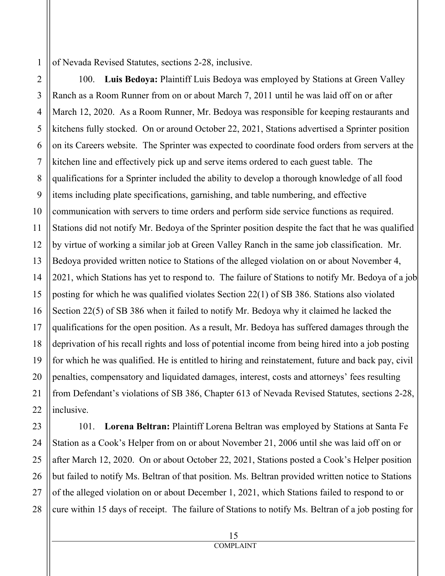of Nevada Revised Statutes, sections 2-28, inclusive.

100. **Luis Bedoya:** Plaintiff Luis Bedoya was employed by Stations at Green Valley Ranch as a Room Runner from on or about March 7, 2011 until he was laid off on or after March 12, 2020. As a Room Runner, Mr. Bedoya was responsible for keeping restaurants and kitchens fully stocked. On or around October 22, 2021, Stations advertised a Sprinter position on its Careers website. The Sprinter was expected to coordinate food orders from servers at the kitchen line and effectively pick up and serve items ordered to each guest table. The qualifications for a Sprinter included the ability to develop a thorough knowledge of all food items including plate specifications, garnishing, and table numbering, and effective communication with servers to time orders and perform side service functions as required. Stations did not notify Mr. Bedoya of the Sprinter position despite the fact that he was qualified by virtue of working a similar job at Green Valley Ranch in the same job classification. Mr. Bedoya provided written notice to Stations of the alleged violation on or about November 4, 2021, which Stations has yet to respond to. The failure of Stations to notify Mr. Bedoya of a job posting for which he was qualified violates Section 22(1) of SB 386. Stations also violated Section 22(5) of SB 386 when it failed to notify Mr. Bedoya why it claimed he lacked the qualifications for the open position. As a result, Mr. Bedoya has suffered damages through the deprivation of his recall rights and loss of potential income from being hired into a job posting for which he was qualified. He is entitled to hiring and reinstatement, future and back pay, civil penalties, compensatory and liquidated damages, interest, costs and attorneys' fees resulting from Defendant's violations of SB 386, Chapter 613 of Nevada Revised Statutes, sections 2-28, inclusive.

101. **Lorena Beltran:** Plaintiff Lorena Beltran was employed by Stations at Santa Fe Station as a Cook's Helper from on or about November 21, 2006 until she was laid off on or after March 12, 2020. On or about October 22, 2021, Stations posted a Cook's Helper position but failed to notify Ms. Beltran of that position. Ms. Beltran provided written notice to Stations of the alleged violation on or about December 1, 2021, which Stations failed to respond to or cure within 15 days of receipt. The failure of Stations to notify Ms. Beltran of a job posting for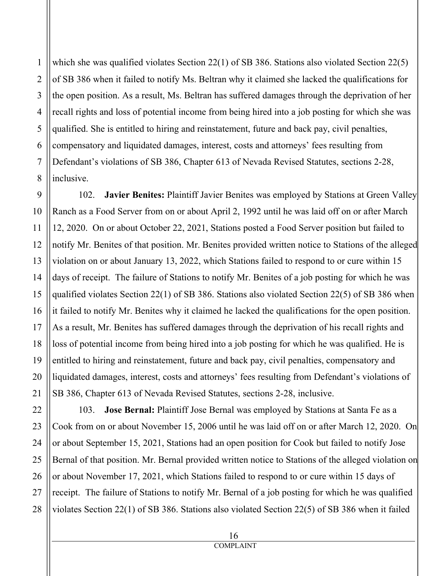which she was qualified violates Section 22(1) of SB 386. Stations also violated Section 22(5) of SB 386 when it failed to notify Ms. Beltran why it claimed she lacked the qualifications for the open position. As a result, Ms. Beltran has suffered damages through the deprivation of her recall rights and loss of potential income from being hired into a job posting for which she was qualified. She is entitled to hiring and reinstatement, future and back pay, civil penalties, compensatory and liquidated damages, interest, costs and attorneys' fees resulting from Defendant's violations of SB 386, Chapter 613 of Nevada Revised Statutes, sections 2-28, inclusive.

102. **Javier Benites:** Plaintiff Javier Benites was employed by Stations at Green Valley Ranch as a Food Server from on or about April 2, 1992 until he was laid off on or after March 12, 2020. On or about October 22, 2021, Stations posted a Food Server position but failed to notify Mr. Benites of that position. Mr. Benites provided written notice to Stations of the alleged violation on or about January 13, 2022, which Stations failed to respond to or cure within 15 days of receipt. The failure of Stations to notify Mr. Benites of a job posting for which he was qualified violates Section 22(1) of SB 386. Stations also violated Section 22(5) of SB 386 when it failed to notify Mr. Benites why it claimed he lacked the qualifications for the open position. As a result, Mr. Benites has suffered damages through the deprivation of his recall rights and loss of potential income from being hired into a job posting for which he was qualified. He is entitled to hiring and reinstatement, future and back pay, civil penalties, compensatory and liquidated damages, interest, costs and attorneys' fees resulting from Defendant's violations of SB 386, Chapter 613 of Nevada Revised Statutes, sections 2-28, inclusive.

103. **Jose Bernal:** Plaintiff Jose Bernal was employed by Stations at Santa Fe as a Cook from on or about November 15, 2006 until he was laid off on or after March 12, 2020. On or about September 15, 2021, Stations had an open position for Cook but failed to notify Jose Bernal of that position. Mr. Bernal provided written notice to Stations of the alleged violation on or about November 17, 2021, which Stations failed to respond to or cure within 15 days of receipt. The failure of Stations to notify Mr. Bernal of a job posting for which he was qualified violates Section 22(1) of SB 386. Stations also violated Section 22(5) of SB 386 when it failed

1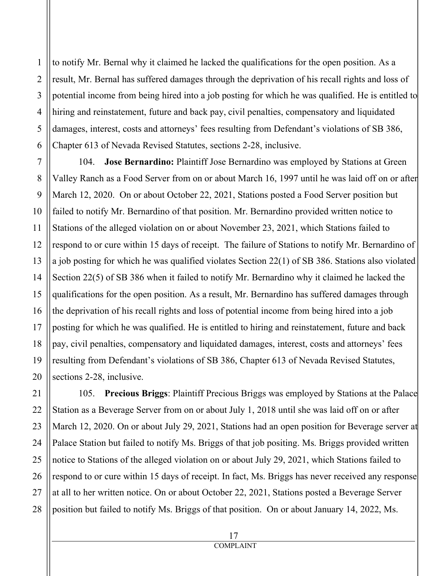to notify Mr. Bernal why it claimed he lacked the qualifications for the open position. As a result, Mr. Bernal has suffered damages through the deprivation of his recall rights and loss of potential income from being hired into a job posting for which he was qualified. He is entitled to hiring and reinstatement, future and back pay, civil penalties, compensatory and liquidated damages, interest, costs and attorneys' fees resulting from Defendant's violations of SB 386, Chapter 613 of Nevada Revised Statutes, sections 2-28, inclusive.

104. **Jose Bernardino:** Plaintiff Jose Bernardino was employed by Stations at Green Valley Ranch as a Food Server from on or about March 16, 1997 until he was laid off on or after March 12, 2020. On or about October 22, 2021, Stations posted a Food Server position but failed to notify Mr. Bernardino of that position. Mr. Bernardino provided written notice to Stations of the alleged violation on or about November 23, 2021, which Stations failed to respond to or cure within 15 days of receipt. The failure of Stations to notify Mr. Bernardino of a job posting for which he was qualified violates Section 22(1) of SB 386. Stations also violated Section 22(5) of SB 386 when it failed to notify Mr. Bernardino why it claimed he lacked the qualifications for the open position. As a result, Mr. Bernardino has suffered damages through the deprivation of his recall rights and loss of potential income from being hired into a job posting for which he was qualified. He is entitled to hiring and reinstatement, future and back pay, civil penalties, compensatory and liquidated damages, interest, costs and attorneys' fees resulting from Defendant's violations of SB 386, Chapter 613 of Nevada Revised Statutes, sections 2-28, inclusive.

105. **Precious Briggs**: Plaintiff Precious Briggs was employed by Stations at the Palace Station as a Beverage Server from on or about July 1, 2018 until she was laid off on or after March 12, 2020. On or about July 29, 2021, Stations had an open position for Beverage server at Palace Station but failed to notify Ms. Briggs of that job positing. Ms. Briggs provided written notice to Stations of the alleged violation on or about July 29, 2021, which Stations failed to respond to or cure within 15 days of receipt. In fact, Ms. Briggs has never received any response at all to her written notice. On or about October 22, 2021, Stations posted a Beverage Server position but failed to notify Ms. Briggs of that position. On or about January 14, 2022, Ms.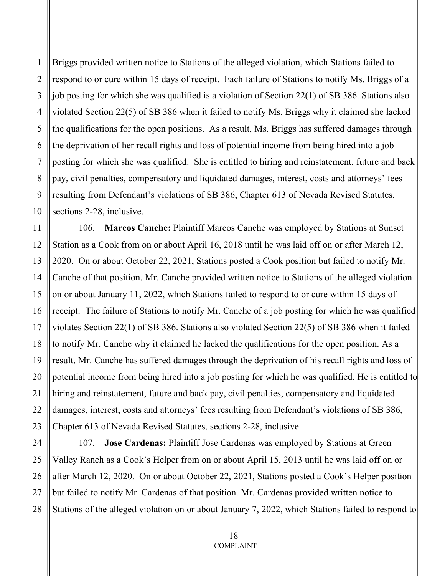Briggs provided written notice to Stations of the alleged violation, which Stations failed to respond to or cure within 15 days of receipt. Each failure of Stations to notify Ms. Briggs of a job posting for which she was qualified is a violation of Section 22(1) of SB 386. Stations also violated Section 22(5) of SB 386 when it failed to notify Ms. Briggs why it claimed she lacked the qualifications for the open positions. As a result, Ms. Briggs has suffered damages through the deprivation of her recall rights and loss of potential income from being hired into a job posting for which she was qualified. She is entitled to hiring and reinstatement, future and back pay, civil penalties, compensatory and liquidated damages, interest, costs and attorneys' fees resulting from Defendant's violations of SB 386, Chapter 613 of Nevada Revised Statutes, sections 2-28, inclusive.

106. **Marcos Canche:** Plaintiff Marcos Canche was employed by Stations at Sunset Station as a Cook from on or about April 16, 2018 until he was laid off on or after March 12, 2020. On or about October 22, 2021, Stations posted a Cook position but failed to notify Mr. Canche of that position. Mr. Canche provided written notice to Stations of the alleged violation on or about January 11, 2022, which Stations failed to respond to or cure within 15 days of receipt. The failure of Stations to notify Mr. Canche of a job posting for which he was qualified violates Section 22(1) of SB 386. Stations also violated Section 22(5) of SB 386 when it failed to notify Mr. Canche why it claimed he lacked the qualifications for the open position. As a result, Mr. Canche has suffered damages through the deprivation of his recall rights and loss of potential income from being hired into a job posting for which he was qualified. He is entitled to hiring and reinstatement, future and back pay, civil penalties, compensatory and liquidated damages, interest, costs and attorneys' fees resulting from Defendant's violations of SB 386, Chapter 613 of Nevada Revised Statutes, sections 2-28, inclusive.

24 25 26 27 28 107. **Jose Cardenas:** Plaintiff Jose Cardenas was employed by Stations at Green Valley Ranch as a Cook's Helper from on or about April 15, 2013 until he was laid off on or after March 12, 2020. On or about October 22, 2021, Stations posted a Cook's Helper position but failed to notify Mr. Cardenas of that position. Mr. Cardenas provided written notice to Stations of the alleged violation on or about January 7, 2022, which Stations failed to respond to

1

2

3

4

5

6

7

8

9

10

11

12

13

14

15

16

17

18

19

20

21

22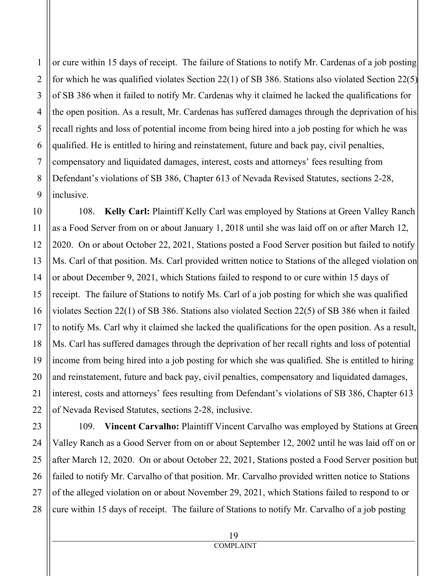or cure within 15 days of receipt. The failure of Stations to notify Mr. Cardenas of a job posting for which he was qualified violates Section 22(1) of SB 386. Stations also violated Section 22(5) of SB 386 when it failed to notify Mr. Cardenas why it claimed he lacked the qualifications for the open position. As a result, Mr. Cardenas has suffered damages through the deprivation of his recall rights and loss of potential income from being hired into a job posting for which he was qualified. He is entitled to hiring and reinstatement, future and back pay, civil penalties, compensatory and liquidated damages, interest, costs and attorneys' fees resulting from Defendant's violations of SB 386, Chapter 613 of Nevada Revised Statutes, sections 2-28, inclusive.

108. **Kelly Carl:** Plaintiff Kelly Carl was employed by Stations at Green Valley Ranch as a Food Server from on or about January 1, 2018 until she was laid off on or after March 12, 2020. On or about October 22, 2021, Stations posted a Food Server position but failed to notify Ms. Carl of that position. Ms. Carl provided written notice to Stations of the alleged violation on or about December 9, 2021, which Stations failed to respond to or cure within 15 days of receipt. The failure of Stations to notify Ms. Carl of a job posting for which she was qualified violates Section 22(1) of SB 386. Stations also violated Section 22(5) of SB 386 when it failed to notify Ms. Carl why it claimed she lacked the qualifications for the open position. As a result, Ms. Carl has suffered damages through the deprivation of her recall rights and loss of potential income from being hired into a job posting for which she was qualified. She is entitled to hiring and reinstatement, future and back pay, civil penalties, compensatory and liquidated damages, interest, costs and attorneys' fees resulting from Defendant's violations of SB 386, Chapter 613 of Nevada Revised Statutes, sections 2-28, inclusive.

109. **Vincent Carvalho:** Plaintiff Vincent Carvalho was employed by Stations at Green Valley Ranch as a Good Server from on or about September 12, 2002 until he was laid off on or after March 12, 2020. On or about October 22, 2021, Stations posted a Food Server position but failed to notify Mr. Carvalho of that position. Mr. Carvalho provided written notice to Stations of the alleged violation on or about November 29, 2021, which Stations failed to respond to or cure within 15 days of receipt. The failure of Stations to notify Mr. Carvalho of a job posting

1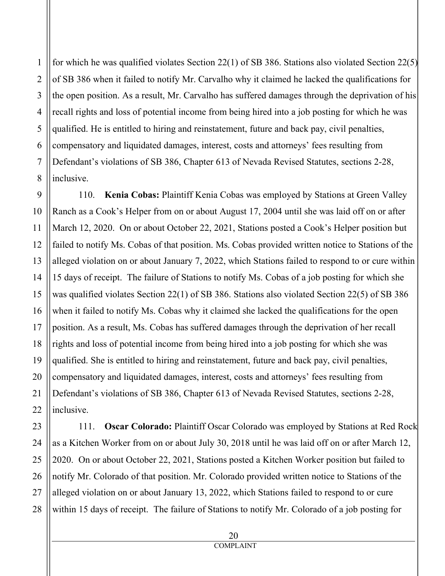for which he was qualified violates Section 22(1) of SB 386. Stations also violated Section 22(5) of SB 386 when it failed to notify Mr. Carvalho why it claimed he lacked the qualifications for the open position. As a result, Mr. Carvalho has suffered damages through the deprivation of his recall rights and loss of potential income from being hired into a job posting for which he was qualified. He is entitled to hiring and reinstatement, future and back pay, civil penalties, compensatory and liquidated damages, interest, costs and attorneys' fees resulting from Defendant's violations of SB 386, Chapter 613 of Nevada Revised Statutes, sections 2-28, inclusive.

110. **Kenia Cobas:** Plaintiff Kenia Cobas was employed by Stations at Green Valley Ranch as a Cook's Helper from on or about August 17, 2004 until she was laid off on or after March 12, 2020. On or about October 22, 2021, Stations posted a Cook's Helper position but failed to notify Ms. Cobas of that position. Ms. Cobas provided written notice to Stations of the alleged violation on or about January 7, 2022, which Stations failed to respond to or cure within 15 days of receipt. The failure of Stations to notify Ms. Cobas of a job posting for which she was qualified violates Section 22(1) of SB 386. Stations also violated Section 22(5) of SB 386 when it failed to notify Ms. Cobas why it claimed she lacked the qualifications for the open position. As a result, Ms. Cobas has suffered damages through the deprivation of her recall rights and loss of potential income from being hired into a job posting for which she was qualified. She is entitled to hiring and reinstatement, future and back pay, civil penalties, compensatory and liquidated damages, interest, costs and attorneys' fees resulting from Defendant's violations of SB 386, Chapter 613 of Nevada Revised Statutes, sections 2-28, inclusive.

111. **Oscar Colorado:** Plaintiff Oscar Colorado was employed by Stations at Red Rock as a Kitchen Worker from on or about July 30, 2018 until he was laid off on or after March 12, 2020. On or about October 22, 2021, Stations posted a Kitchen Worker position but failed to notify Mr. Colorado of that position. Mr. Colorado provided written notice to Stations of the alleged violation on or about January 13, 2022, which Stations failed to respond to or cure within 15 days of receipt. The failure of Stations to notify Mr. Colorado of a job posting for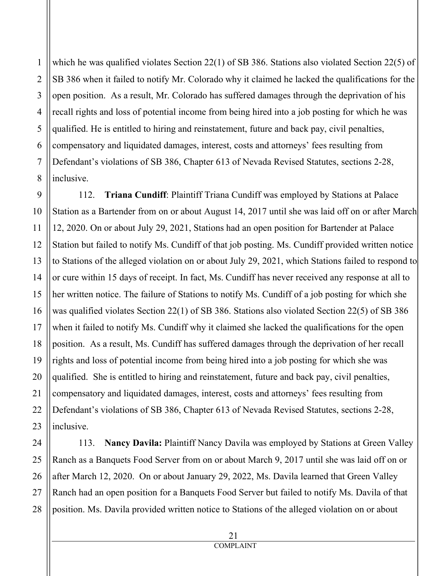which he was qualified violates Section 22(1) of SB 386. Stations also violated Section 22(5) of SB 386 when it failed to notify Mr. Colorado why it claimed he lacked the qualifications for the open position. As a result, Mr. Colorado has suffered damages through the deprivation of his recall rights and loss of potential income from being hired into a job posting for which he was qualified. He is entitled to hiring and reinstatement, future and back pay, civil penalties, compensatory and liquidated damages, interest, costs and attorneys' fees resulting from Defendant's violations of SB 386, Chapter 613 of Nevada Revised Statutes, sections 2-28, inclusive.

112. **Triana Cundiff**: Plaintiff Triana Cundiff was employed by Stations at Palace Station as a Bartender from on or about August 14, 2017 until she was laid off on or after March 12, 2020. On or about July 29, 2021, Stations had an open position for Bartender at Palace Station but failed to notify Ms. Cundiff of that job posting. Ms. Cundiff provided written notice to Stations of the alleged violation on or about July 29, 2021, which Stations failed to respond to or cure within 15 days of receipt. In fact, Ms. Cundiff has never received any response at all to her written notice. The failure of Stations to notify Ms. Cundiff of a job posting for which she was qualified violates Section 22(1) of SB 386. Stations also violated Section 22(5) of SB 386 when it failed to notify Ms. Cundiff why it claimed she lacked the qualifications for the open position. As a result, Ms. Cundiff has suffered damages through the deprivation of her recall rights and loss of potential income from being hired into a job posting for which she was qualified. She is entitled to hiring and reinstatement, future and back pay, civil penalties, compensatory and liquidated damages, interest, costs and attorneys' fees resulting from Defendant's violations of SB 386, Chapter 613 of Nevada Revised Statutes, sections 2-28, inclusive.

113. **Nancy Davila:** Plaintiff Nancy Davila was employed by Stations at Green Valley Ranch as a Banquets Food Server from on or about March 9, 2017 until she was laid off on or after March 12, 2020. On or about January 29, 2022, Ms. Davila learned that Green Valley Ranch had an open position for a Banquets Food Server but failed to notify Ms. Davila of that position. Ms. Davila provided written notice to Stations of the alleged violation on or about

> 21 COMPLAINT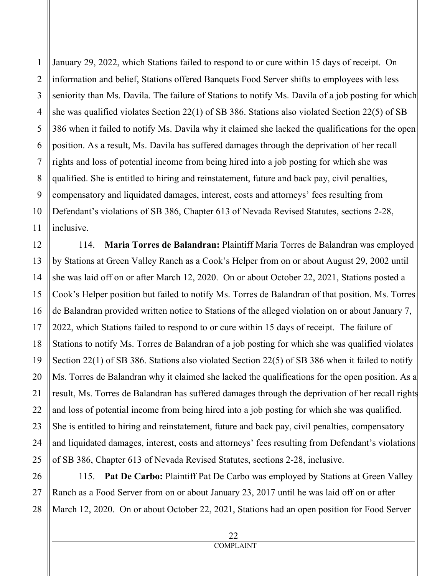2 3 4 5 6 7 8 9 10 11 January 29, 2022, which Stations failed to respond to or cure within 15 days of receipt. On information and belief, Stations offered Banquets Food Server shifts to employees with less seniority than Ms. Davila. The failure of Stations to notify Ms. Davila of a job posting for which she was qualified violates Section 22(1) of SB 386. Stations also violated Section 22(5) of SB 386 when it failed to notify Ms. Davila why it claimed she lacked the qualifications for the open position. As a result, Ms. Davila has suffered damages through the deprivation of her recall rights and loss of potential income from being hired into a job posting for which she was qualified. She is entitled to hiring and reinstatement, future and back pay, civil penalties, compensatory and liquidated damages, interest, costs and attorneys' fees resulting from Defendant's violations of SB 386, Chapter 613 of Nevada Revised Statutes, sections 2-28, inclusive.

114. **Maria Torres de Balandran:** Plaintiff Maria Torres de Balandran was employed by Stations at Green Valley Ranch as a Cook's Helper from on or about August 29, 2002 until she was laid off on or after March 12, 2020. On or about October 22, 2021, Stations posted a Cook's Helper position but failed to notify Ms. Torres de Balandran of that position. Ms. Torres de Balandran provided written notice to Stations of the alleged violation on or about January 7, 2022, which Stations failed to respond to or cure within 15 days of receipt. The failure of Stations to notify Ms. Torres de Balandran of a job posting for which she was qualified violates Section 22(1) of SB 386. Stations also violated Section 22(5) of SB 386 when it failed to notify Ms. Torres de Balandran why it claimed she lacked the qualifications for the open position. As a result, Ms. Torres de Balandran has suffered damages through the deprivation of her recall rights and loss of potential income from being hired into a job posting for which she was qualified. She is entitled to hiring and reinstatement, future and back pay, civil penalties, compensatory and liquidated damages, interest, costs and attorneys' fees resulting from Defendant's violations of SB 386, Chapter 613 of Nevada Revised Statutes, sections 2-28, inclusive.

28 115. **Pat De Carbo:** Plaintiff Pat De Carbo was employed by Stations at Green Valley Ranch as a Food Server from on or about January 23, 2017 until he was laid off on or after March 12, 2020. On or about October 22, 2021, Stations had an open position for Food Server

1

12

13

14

15

16

17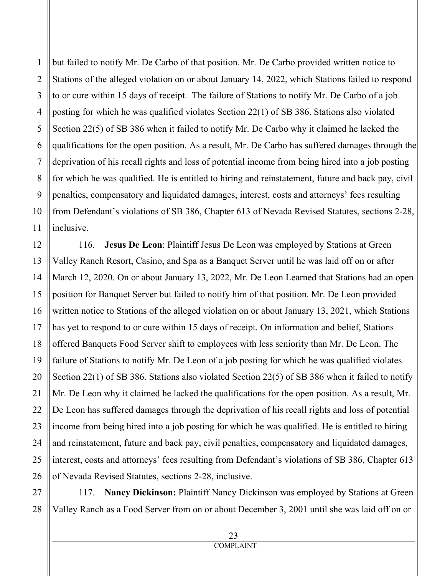but failed to notify Mr. De Carbo of that position. Mr. De Carbo provided written notice to Stations of the alleged violation on or about January 14, 2022, which Stations failed to respond to or cure within 15 days of receipt. The failure of Stations to notify Mr. De Carbo of a job posting for which he was qualified violates Section 22(1) of SB 386. Stations also violated Section 22(5) of SB 386 when it failed to notify Mr. De Carbo why it claimed he lacked the qualifications for the open position. As a result, Mr. De Carbo has suffered damages through the deprivation of his recall rights and loss of potential income from being hired into a job posting for which he was qualified. He is entitled to hiring and reinstatement, future and back pay, civil penalties, compensatory and liquidated damages, interest, costs and attorneys' fees resulting from Defendant's violations of SB 386, Chapter 613 of Nevada Revised Statutes, sections 2-28, inclusive.

20 116. **Jesus De Leon**: Plaintiff Jesus De Leon was employed by Stations at Green Valley Ranch Resort, Casino, and Spa as a Banquet Server until he was laid off on or after March 12, 2020. On or about January 13, 2022, Mr. De Leon Learned that Stations had an open position for Banquet Server but failed to notify him of that position. Mr. De Leon provided written notice to Stations of the alleged violation on or about January 13, 2021, which Stations has yet to respond to or cure within 15 days of receipt. On information and belief, Stations offered Banquets Food Server shift to employees with less seniority than Mr. De Leon. The failure of Stations to notify Mr. De Leon of a job posting for which he was qualified violates Section 22(1) of SB 386. Stations also violated Section 22(5) of SB 386 when it failed to notify Mr. De Leon why it claimed he lacked the qualifications for the open position. As a result, Mr. De Leon has suffered damages through the deprivation of his recall rights and loss of potential income from being hired into a job posting for which he was qualified. He is entitled to hiring and reinstatement, future and back pay, civil penalties, compensatory and liquidated damages, interest, costs and attorneys' fees resulting from Defendant's violations of SB 386, Chapter 613 of Nevada Revised Statutes, sections 2-28, inclusive.

28 117. **Nancy Dickinson:** Plaintiff Nancy Dickinson was employed by Stations at Green Valley Ranch as a Food Server from on or about December 3, 2001 until she was laid off on or

1

2

3

4

5

6

7

8

9

10

11

12

13

14

15

16

17

18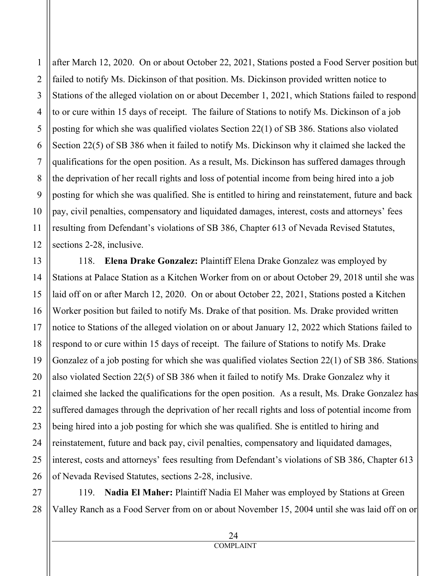6 9 12 after March 12, 2020. On or about October 22, 2021, Stations posted a Food Server position but failed to notify Ms. Dickinson of that position. Ms. Dickinson provided written notice to Stations of the alleged violation on or about December 1, 2021, which Stations failed to respond to or cure within 15 days of receipt. The failure of Stations to notify Ms. Dickinson of a job posting for which she was qualified violates Section 22(1) of SB 386. Stations also violated Section 22(5) of SB 386 when it failed to notify Ms. Dickinson why it claimed she lacked the qualifications for the open position. As a result, Ms. Dickinson has suffered damages through the deprivation of her recall rights and loss of potential income from being hired into a job posting for which she was qualified. She is entitled to hiring and reinstatement, future and back pay, civil penalties, compensatory and liquidated damages, interest, costs and attorneys' fees resulting from Defendant's violations of SB 386, Chapter 613 of Nevada Revised Statutes, sections 2-28, inclusive.

118. **Elena Drake Gonzalez:** Plaintiff Elena Drake Gonzalez was employed by Stations at Palace Station as a Kitchen Worker from on or about October 29, 2018 until she was laid off on or after March 12, 2020. On or about October 22, 2021, Stations posted a Kitchen Worker position but failed to notify Ms. Drake of that position. Ms. Drake provided written notice to Stations of the alleged violation on or about January 12, 2022 which Stations failed to respond to or cure within 15 days of receipt. The failure of Stations to notify Ms. Drake Gonzalez of a job posting for which she was qualified violates Section 22(1) of SB 386. Stations also violated Section 22(5) of SB 386 when it failed to notify Ms. Drake Gonzalez why it claimed she lacked the qualifications for the open position. As a result, Ms. Drake Gonzalez has suffered damages through the deprivation of her recall rights and loss of potential income from being hired into a job posting for which she was qualified. She is entitled to hiring and reinstatement, future and back pay, civil penalties, compensatory and liquidated damages, interest, costs and attorneys' fees resulting from Defendant's violations of SB 386, Chapter 613 of Nevada Revised Statutes, sections 2-28, inclusive.

119. **Nadia El Maher:** Plaintiff Nadia El Maher was employed by Stations at Green Valley Ranch as a Food Server from on or about November 15, 2004 until she was laid off on or

1

2

3

4

5

7

8

10

11

13

14

15

16

17

18

19

20

21

22

23

24

25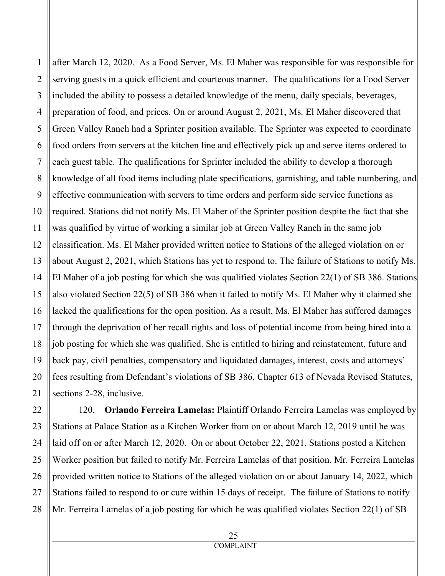6 9 13 14 16 18 19 20 after March 12, 2020. As a Food Server, Ms. El Maher was responsible for was responsible for serving guests in a quick efficient and courteous manner. The qualifications for a Food Server included the ability to possess a detailed knowledge of the menu, daily specials, beverages, preparation of food, and prices. On or around August 2, 2021, Ms. El Maher discovered that Green Valley Ranch had a Sprinter position available. The Sprinter was expected to coordinate food orders from servers at the kitchen line and effectively pick up and serve items ordered to each guest table. The qualifications for Sprinter included the ability to develop a thorough knowledge of all food items including plate specifications, garnishing, and table numbering, and effective communication with servers to time orders and perform side service functions as required. Stations did not notify Ms. El Maher of the Sprinter position despite the fact that she was qualified by virtue of working a similar job at Green Valley Ranch in the same job classification. Ms. El Maher provided written notice to Stations of the alleged violation on or about August 2, 2021, which Stations has yet to respond to. The failure of Stations to notify Ms. El Maher of a job posting for which she was qualified violates Section 22(1) of SB 386. Stations also violated Section 22(5) of SB 386 when it failed to notify Ms. El Maher why it claimed she lacked the qualifications for the open position. As a result, Ms. El Maher has suffered damages through the deprivation of her recall rights and loss of potential income from being hired into a job posting for which she was qualified. She is entitled to hiring and reinstatement, future and back pay, civil penalties, compensatory and liquidated damages, interest, costs and attorneys' fees resulting from Defendant's violations of SB 386, Chapter 613 of Nevada Revised Statutes, sections 2-28, inclusive.

22 23 24 25 26 28 120. **Orlando Ferreira Lamelas:** Plaintiff Orlando Ferreira Lamelas was employed by Stations at Palace Station as a Kitchen Worker from on or about March 12, 2019 until he was laid off on or after March 12, 2020. On or about October 22, 2021, Stations posted a Kitchen Worker position but failed to notify Mr. Ferreira Lamelas of that position. Mr. Ferreira Lamelas provided written notice to Stations of the alleged violation on or about January 14, 2022, which Stations failed to respond to or cure within 15 days of receipt. The failure of Stations to notify Mr. Ferreira Lamelas of a job posting for which he was qualified violates Section 22(1) of SB

1

2

3

4

5

7

8

10

11

12

15

17

21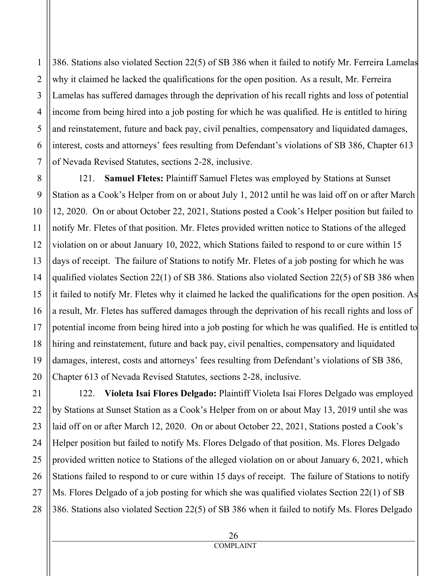386. Stations also violated Section 22(5) of SB 386 when it failed to notify Mr. Ferreira Lamelas why it claimed he lacked the qualifications for the open position. As a result, Mr. Ferreira Lamelas has suffered damages through the deprivation of his recall rights and loss of potential income from being hired into a job posting for which he was qualified. He is entitled to hiring and reinstatement, future and back pay, civil penalties, compensatory and liquidated damages, interest, costs and attorneys' fees resulting from Defendant's violations of SB 386, Chapter 613 of Nevada Revised Statutes, sections 2-28, inclusive.

121. **Samuel Fletes:** Plaintiff Samuel Fletes was employed by Stations at Sunset Station as a Cook's Helper from on or about July 1, 2012 until he was laid off on or after March 12, 2020. On or about October 22, 2021, Stations posted a Cook's Helper position but failed to notify Mr. Fletes of that position. Mr. Fletes provided written notice to Stations of the alleged violation on or about January 10, 2022, which Stations failed to respond to or cure within 15 days of receipt. The failure of Stations to notify Mr. Fletes of a job posting for which he was qualified violates Section 22(1) of SB 386. Stations also violated Section 22(5) of SB 386 when it failed to notify Mr. Fletes why it claimed he lacked the qualifications for the open position. As a result, Mr. Fletes has suffered damages through the deprivation of his recall rights and loss of potential income from being hired into a job posting for which he was qualified. He is entitled to hiring and reinstatement, future and back pay, civil penalties, compensatory and liquidated damages, interest, costs and attorneys' fees resulting from Defendant's violations of SB 386, Chapter 613 of Nevada Revised Statutes, sections 2-28, inclusive.

122. **Violeta Isai Flores Delgado:** Plaintiff Violeta Isai Flores Delgado was employed by Stations at Sunset Station as a Cook's Helper from on or about May 13, 2019 until she was laid off on or after March 12, 2020. On or about October 22, 2021, Stations posted a Cook's Helper position but failed to notify Ms. Flores Delgado of that position. Ms. Flores Delgado provided written notice to Stations of the alleged violation on or about January 6, 2021, which Stations failed to respond to or cure within 15 days of receipt. The failure of Stations to notify Ms. Flores Delgado of a job posting for which she was qualified violates Section 22(1) of SB 386. Stations also violated Section 22(5) of SB 386 when it failed to notify Ms. Flores Delgado

> 26 COMPLAINT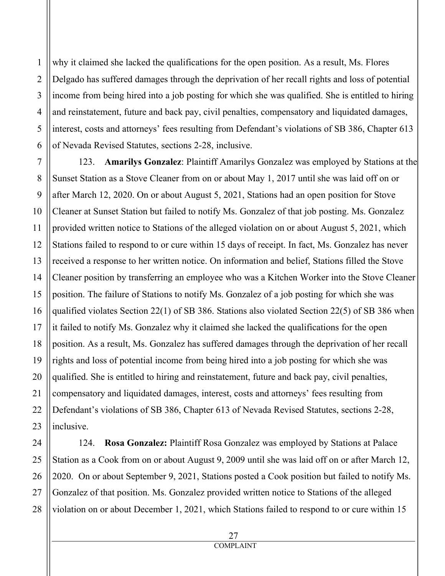why it claimed she lacked the qualifications for the open position. As a result, Ms. Flores Delgado has suffered damages through the deprivation of her recall rights and loss of potential income from being hired into a job posting for which she was qualified. She is entitled to hiring and reinstatement, future and back pay, civil penalties, compensatory and liquidated damages, interest, costs and attorneys' fees resulting from Defendant's violations of SB 386, Chapter 613 of Nevada Revised Statutes, sections 2-28, inclusive.

123. **Amarilys Gonzalez**: Plaintiff Amarilys Gonzalez was employed by Stations at the Sunset Station as a Stove Cleaner from on or about May 1, 2017 until she was laid off on or after March 12, 2020. On or about August 5, 2021, Stations had an open position for Stove Cleaner at Sunset Station but failed to notify Ms. Gonzalez of that job posting. Ms. Gonzalez provided written notice to Stations of the alleged violation on or about August 5, 2021, which Stations failed to respond to or cure within 15 days of receipt. In fact, Ms. Gonzalez has never received a response to her written notice. On information and belief, Stations filled the Stove Cleaner position by transferring an employee who was a Kitchen Worker into the Stove Cleaner position. The failure of Stations to notify Ms. Gonzalez of a job posting for which she was qualified violates Section 22(1) of SB 386. Stations also violated Section 22(5) of SB 386 when it failed to notify Ms. Gonzalez why it claimed she lacked the qualifications for the open position. As a result, Ms. Gonzalez has suffered damages through the deprivation of her recall rights and loss of potential income from being hired into a job posting for which she was qualified. She is entitled to hiring and reinstatement, future and back pay, civil penalties, compensatory and liquidated damages, interest, costs and attorneys' fees resulting from Defendant's violations of SB 386, Chapter 613 of Nevada Revised Statutes, sections 2-28, inclusive.

124. **Rosa Gonzalez:** Plaintiff Rosa Gonzalez was employed by Stations at Palace Station as a Cook from on or about August 9, 2009 until she was laid off on or after March 12, 2020. On or about September 9, 2021, Stations posted a Cook position but failed to notify Ms. Gonzalez of that position. Ms. Gonzalez provided written notice to Stations of the alleged violation on or about December 1, 2021, which Stations failed to respond to or cure within 15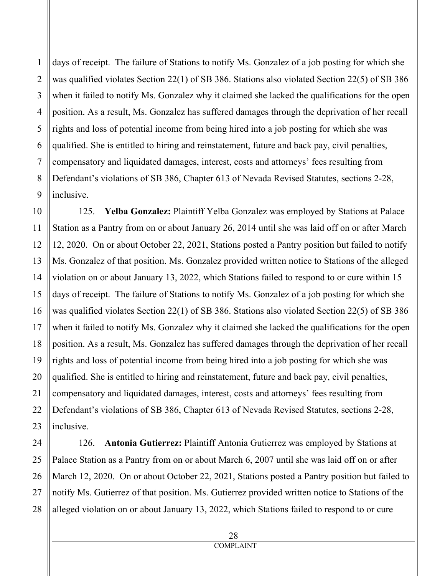days of receipt. The failure of Stations to notify Ms. Gonzalez of a job posting for which she was qualified violates Section 22(1) of SB 386. Stations also violated Section 22(5) of SB 386 when it failed to notify Ms. Gonzalez why it claimed she lacked the qualifications for the open position. As a result, Ms. Gonzalez has suffered damages through the deprivation of her recall rights and loss of potential income from being hired into a job posting for which she was qualified. She is entitled to hiring and reinstatement, future and back pay, civil penalties, compensatory and liquidated damages, interest, costs and attorneys' fees resulting from Defendant's violations of SB 386, Chapter 613 of Nevada Revised Statutes, sections 2-28, inclusive.

125. **Yelba Gonzalez:** Plaintiff Yelba Gonzalez was employed by Stations at Palace Station as a Pantry from on or about January 26, 2014 until she was laid off on or after March 12, 2020. On or about October 22, 2021, Stations posted a Pantry position but failed to notify Ms. Gonzalez of that position. Ms. Gonzalez provided written notice to Stations of the alleged violation on or about January 13, 2022, which Stations failed to respond to or cure within 15 days of receipt. The failure of Stations to notify Ms. Gonzalez of a job posting for which she was qualified violates Section 22(1) of SB 386. Stations also violated Section 22(5) of SB 386 when it failed to notify Ms. Gonzalez why it claimed she lacked the qualifications for the open position. As a result, Ms. Gonzalez has suffered damages through the deprivation of her recall rights and loss of potential income from being hired into a job posting for which she was qualified. She is entitled to hiring and reinstatement, future and back pay, civil penalties, compensatory and liquidated damages, interest, costs and attorneys' fees resulting from Defendant's violations of SB 386, Chapter 613 of Nevada Revised Statutes, sections 2-28, inclusive.

126. **Antonia Gutierrez:** Plaintiff Antonia Gutierrez was employed by Stations at Palace Station as a Pantry from on or about March 6, 2007 until she was laid off on or after March 12, 2020. On or about October 22, 2021, Stations posted a Pantry position but failed to notify Ms. Gutierrez of that position. Ms. Gutierrez provided written notice to Stations of the alleged violation on or about January 13, 2022, which Stations failed to respond to or cure

1

2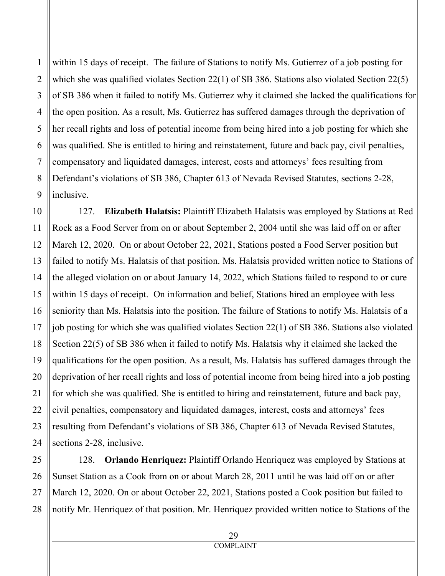within 15 days of receipt. The failure of Stations to notify Ms. Gutierrez of a job posting for which she was qualified violates Section 22(1) of SB 386. Stations also violated Section 22(5) of SB 386 when it failed to notify Ms. Gutierrez why it claimed she lacked the qualifications for the open position. As a result, Ms. Gutierrez has suffered damages through the deprivation of her recall rights and loss of potential income from being hired into a job posting for which she was qualified. She is entitled to hiring and reinstatement, future and back pay, civil penalties, compensatory and liquidated damages, interest, costs and attorneys' fees resulting from Defendant's violations of SB 386, Chapter 613 of Nevada Revised Statutes, sections 2-28, inclusive.

127. **Elizabeth Halatsis:** Plaintiff Elizabeth Halatsis was employed by Stations at Red Rock as a Food Server from on or about September 2, 2004 until she was laid off on or after March 12, 2020. On or about October 22, 2021, Stations posted a Food Server position but failed to notify Ms. Halatsis of that position. Ms. Halatsis provided written notice to Stations of the alleged violation on or about January 14, 2022, which Stations failed to respond to or cure within 15 days of receipt. On information and belief, Stations hired an employee with less seniority than Ms. Halatsis into the position. The failure of Stations to notify Ms. Halatsis of a job posting for which she was qualified violates Section 22(1) of SB 386. Stations also violated Section 22(5) of SB 386 when it failed to notify Ms. Halatsis why it claimed she lacked the qualifications for the open position. As a result, Ms. Halatsis has suffered damages through the deprivation of her recall rights and loss of potential income from being hired into a job posting for which she was qualified. She is entitled to hiring and reinstatement, future and back pay, civil penalties, compensatory and liquidated damages, interest, costs and attorneys' fees resulting from Defendant's violations of SB 386, Chapter 613 of Nevada Revised Statutes, sections 2-28, inclusive.

128. **Orlando Henriquez:** Plaintiff Orlando Henriquez was employed by Stations at Sunset Station as a Cook from on or about March 28, 2011 until he was laid off on or after March 12, 2020. On or about October 22, 2021, Stations posted a Cook position but failed to notify Mr. Henriquez of that position. Mr. Henriquez provided written notice to Stations of the

> 29 COMPLAINT

1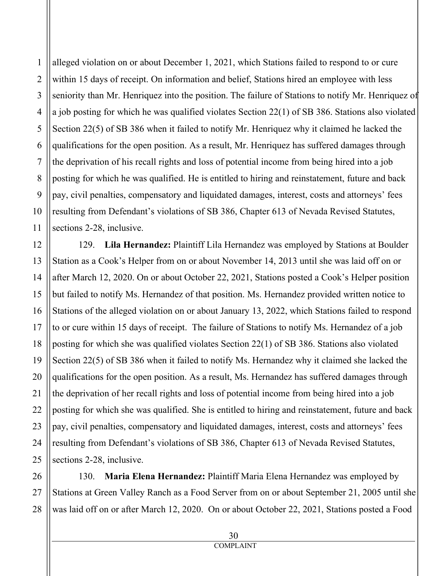alleged violation on or about December 1, 2021, which Stations failed to respond to or cure within 15 days of receipt. On information and belief, Stations hired an employee with less seniority than Mr. Henriquez into the position. The failure of Stations to notify Mr. Henriquez of a job posting for which he was qualified violates Section 22(1) of SB 386. Stations also violated Section 22(5) of SB 386 when it failed to notify Mr. Henriquez why it claimed he lacked the qualifications for the open position. As a result, Mr. Henriquez has suffered damages through the deprivation of his recall rights and loss of potential income from being hired into a job posting for which he was qualified. He is entitled to hiring and reinstatement, future and back pay, civil penalties, compensatory and liquidated damages, interest, costs and attorneys' fees resulting from Defendant's violations of SB 386, Chapter 613 of Nevada Revised Statutes, sections 2-28, inclusive.

129. **Lila Hernandez:** Plaintiff Lila Hernandez was employed by Stations at Boulder Station as a Cook's Helper from on or about November 14, 2013 until she was laid off on or after March 12, 2020. On or about October 22, 2021, Stations posted a Cook's Helper position but failed to notify Ms. Hernandez of that position. Ms. Hernandez provided written notice to Stations of the alleged violation on or about January 13, 2022, which Stations failed to respond to or cure within 15 days of receipt. The failure of Stations to notify Ms. Hernandez of a job posting for which she was qualified violates Section 22(1) of SB 386. Stations also violated Section 22(5) of SB 386 when it failed to notify Ms. Hernandez why it claimed she lacked the qualifications for the open position. As a result, Ms. Hernandez has suffered damages through the deprivation of her recall rights and loss of potential income from being hired into a job posting for which she was qualified. She is entitled to hiring and reinstatement, future and back pay, civil penalties, compensatory and liquidated damages, interest, costs and attorneys' fees resulting from Defendant's violations of SB 386, Chapter 613 of Nevada Revised Statutes, sections 2-28, inclusive.

130. **Maria Elena Hernandez:** Plaintiff Maria Elena Hernandez was employed by Stations at Green Valley Ranch as a Food Server from on or about September 21, 2005 until she was laid off on or after March 12, 2020. On or about October 22, 2021, Stations posted a Food

1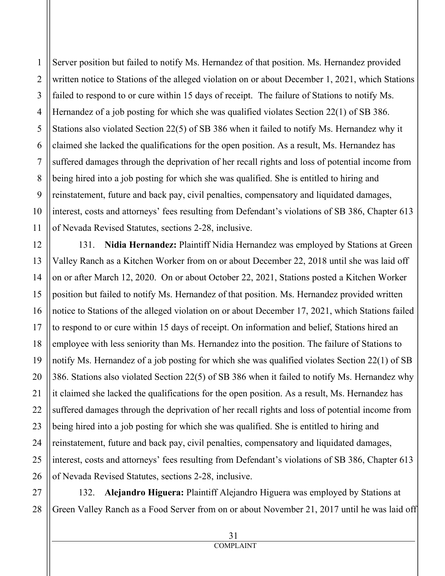Server position but failed to notify Ms. Hernandez of that position. Ms. Hernandez provided written notice to Stations of the alleged violation on or about December 1, 2021, which Stations failed to respond to or cure within 15 days of receipt. The failure of Stations to notify Ms. Hernandez of a job posting for which she was qualified violates Section 22(1) of SB 386. Stations also violated Section 22(5) of SB 386 when it failed to notify Ms. Hernandez why it claimed she lacked the qualifications for the open position. As a result, Ms. Hernandez has suffered damages through the deprivation of her recall rights and loss of potential income from being hired into a job posting for which she was qualified. She is entitled to hiring and reinstatement, future and back pay, civil penalties, compensatory and liquidated damages, interest, costs and attorneys' fees resulting from Defendant's violations of SB 386, Chapter 613 of Nevada Revised Statutes, sections 2-28, inclusive.

131. **Nidia Hernandez:** Plaintiff Nidia Hernandez was employed by Stations at Green Valley Ranch as a Kitchen Worker from on or about December 22, 2018 until she was laid off on or after March 12, 2020. On or about October 22, 2021, Stations posted a Kitchen Worker position but failed to notify Ms. Hernandez of that position. Ms. Hernandez provided written notice to Stations of the alleged violation on or about December 17, 2021, which Stations failed to respond to or cure within 15 days of receipt. On information and belief, Stations hired an employee with less seniority than Ms. Hernandez into the position. The failure of Stations to notify Ms. Hernandez of a job posting for which she was qualified violates Section 22(1) of SB 386. Stations also violated Section 22(5) of SB 386 when it failed to notify Ms. Hernandez why it claimed she lacked the qualifications for the open position. As a result, Ms. Hernandez has suffered damages through the deprivation of her recall rights and loss of potential income from being hired into a job posting for which she was qualified. She is entitled to hiring and reinstatement, future and back pay, civil penalties, compensatory and liquidated damages, interest, costs and attorneys' fees resulting from Defendant's violations of SB 386, Chapter 613 of Nevada Revised Statutes, sections 2-28, inclusive.

132. **Alejandro Higuera:** Plaintiff Alejandro Higuera was employed by Stations at Green Valley Ranch as a Food Server from on or about November 21, 2017 until he was laid off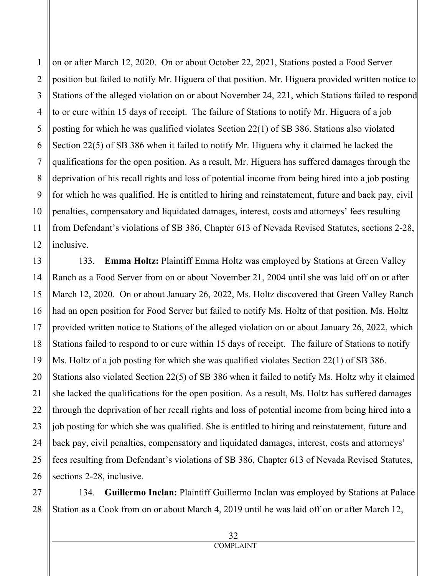6 8 9 10 12 on or after March 12, 2020. On or about October 22, 2021, Stations posted a Food Server position but failed to notify Mr. Higuera of that position. Mr. Higuera provided written notice to Stations of the alleged violation on or about November 24, 221, which Stations failed to respond to or cure within 15 days of receipt. The failure of Stations to notify Mr. Higuera of a job posting for which he was qualified violates Section 22(1) of SB 386. Stations also violated Section 22(5) of SB 386 when it failed to notify Mr. Higuera why it claimed he lacked the qualifications for the open position. As a result, Mr. Higuera has suffered damages through the deprivation of his recall rights and loss of potential income from being hired into a job posting for which he was qualified. He is entitled to hiring and reinstatement, future and back pay, civil penalties, compensatory and liquidated damages, interest, costs and attorneys' fees resulting from Defendant's violations of SB 386, Chapter 613 of Nevada Revised Statutes, sections 2-28, inclusive.

133. **Emma Holtz:** Plaintiff Emma Holtz was employed by Stations at Green Valley Ranch as a Food Server from on or about November 21, 2004 until she was laid off on or after March 12, 2020. On or about January 26, 2022, Ms. Holtz discovered that Green Valley Ranch had an open position for Food Server but failed to notify Ms. Holtz of that position. Ms. Holtz provided written notice to Stations of the alleged violation on or about January 26, 2022, which Stations failed to respond to or cure within 15 days of receipt. The failure of Stations to notify Ms. Holtz of a job posting for which she was qualified violates Section 22(1) of SB 386. Stations also violated Section 22(5) of SB 386 when it failed to notify Ms. Holtz why it claimed she lacked the qualifications for the open position. As a result, Ms. Holtz has suffered damages through the deprivation of her recall rights and loss of potential income from being hired into a job posting for which she was qualified. She is entitled to hiring and reinstatement, future and back pay, civil penalties, compensatory and liquidated damages, interest, costs and attorneys' fees resulting from Defendant's violations of SB 386, Chapter 613 of Nevada Revised Statutes, sections 2-28, inclusive.

134. **Guillermo Inclan:** Plaintiff Guillermo Inclan was employed by Stations at Palace Station as a Cook from on or about March 4, 2019 until he was laid off on or after March 12,

1

2

3

4

5

7

11

13

14

15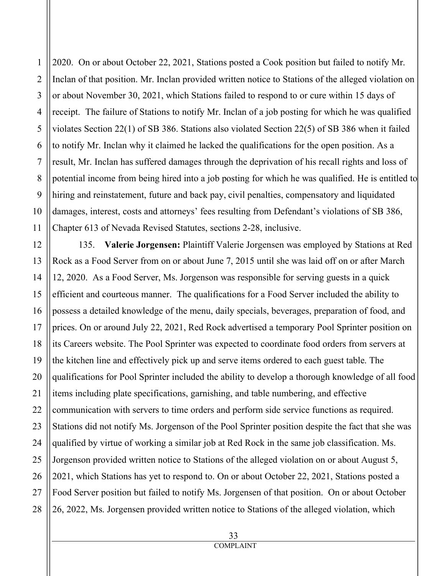2020. On or about October 22, 2021, Stations posted a Cook position but failed to notify Mr. Inclan of that position. Mr. Inclan provided written notice to Stations of the alleged violation on or about November 30, 2021, which Stations failed to respond to or cure within 15 days of receipt. The failure of Stations to notify Mr. Inclan of a job posting for which he was qualified violates Section 22(1) of SB 386. Stations also violated Section 22(5) of SB 386 when it failed to notify Mr. Inclan why it claimed he lacked the qualifications for the open position. As a result, Mr. Inclan has suffered damages through the deprivation of his recall rights and loss of potential income from being hired into a job posting for which he was qualified. He is entitled to hiring and reinstatement, future and back pay, civil penalties, compensatory and liquidated damages, interest, costs and attorneys' fees resulting from Defendant's violations of SB 386, Chapter 613 of Nevada Revised Statutes, sections 2-28, inclusive.

135. **Valerie Jorgensen:** Plaintiff Valerie Jorgensen was employed by Stations at Red Rock as a Food Server from on or about June 7, 2015 until she was laid off on or after March 12, 2020. As a Food Server, Ms. Jorgenson was responsible for serving guests in a quick efficient and courteous manner. The qualifications for a Food Server included the ability to possess a detailed knowledge of the menu, daily specials, beverages, preparation of food, and prices. On or around July 22, 2021, Red Rock advertised a temporary Pool Sprinter position on its Careers website. The Pool Sprinter was expected to coordinate food orders from servers at the kitchen line and effectively pick up and serve items ordered to each guest table. The qualifications for Pool Sprinter included the ability to develop a thorough knowledge of all food items including plate specifications, garnishing, and table numbering, and effective communication with servers to time orders and perform side service functions as required. Stations did not notify Ms. Jorgenson of the Pool Sprinter position despite the fact that she was qualified by virtue of working a similar job at Red Rock in the same job classification. Ms. Jorgenson provided written notice to Stations of the alleged violation on or about August 5, 2021, which Stations has yet to respond to. On or about October 22, 2021, Stations posted a Food Server position but failed to notify Ms. Jorgensen of that position. On or about October 26, 2022, Ms. Jorgensen provided written notice to Stations of the alleged violation, which

1

2

3

4

5

6

7

8

9

10

11

12

13

14

15

16

17

18

19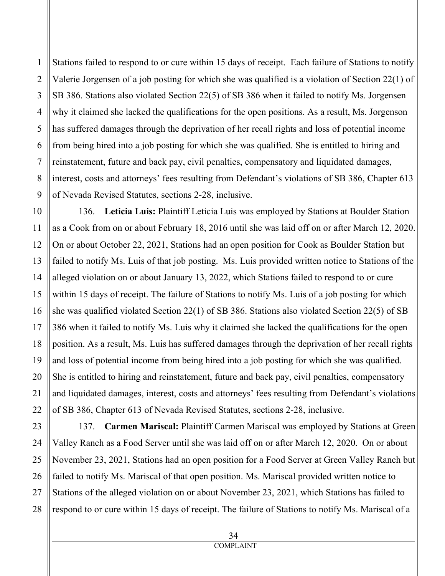Stations failed to respond to or cure within 15 days of receipt. Each failure of Stations to notify Valerie Jorgensen of a job posting for which she was qualified is a violation of Section 22(1) of SB 386. Stations also violated Section 22(5) of SB 386 when it failed to notify Ms. Jorgensen why it claimed she lacked the qualifications for the open positions. As a result, Ms. Jorgenson has suffered damages through the deprivation of her recall rights and loss of potential income from being hired into a job posting for which she was qualified. She is entitled to hiring and reinstatement, future and back pay, civil penalties, compensatory and liquidated damages, interest, costs and attorneys' fees resulting from Defendant's violations of SB 386, Chapter 613 of Nevada Revised Statutes, sections 2-28, inclusive.

136. **Leticia Luis:** Plaintiff Leticia Luis was employed by Stations at Boulder Station as a Cook from on or about February 18, 2016 until she was laid off on or after March 12, 2020. On or about October 22, 2021, Stations had an open position for Cook as Boulder Station but failed to notify Ms. Luis of that job posting. Ms. Luis provided written notice to Stations of the alleged violation on or about January 13, 2022, which Stations failed to respond to or cure within 15 days of receipt. The failure of Stations to notify Ms. Luis of a job posting for which she was qualified violated Section 22(1) of SB 386. Stations also violated Section 22(5) of SB 386 when it failed to notify Ms. Luis why it claimed she lacked the qualifications for the open position. As a result, Ms. Luis has suffered damages through the deprivation of her recall rights and loss of potential income from being hired into a job posting for which she was qualified. She is entitled to hiring and reinstatement, future and back pay, civil penalties, compensatory and liquidated damages, interest, costs and attorneys' fees resulting from Defendant's violations of SB 386, Chapter 613 of Nevada Revised Statutes, sections 2-28, inclusive.

137. **Carmen Mariscal:** Plaintiff Carmen Mariscal was employed by Stations at Green Valley Ranch as a Food Server until she was laid off on or after March 12, 2020. On or about November 23, 2021, Stations had an open position for a Food Server at Green Valley Ranch but failed to notify Ms. Mariscal of that open position. Ms. Mariscal provided written notice to Stations of the alleged violation on or about November 23, 2021, which Stations has failed to respond to or cure within 15 days of receipt. The failure of Stations to notify Ms. Mariscal of a

1

2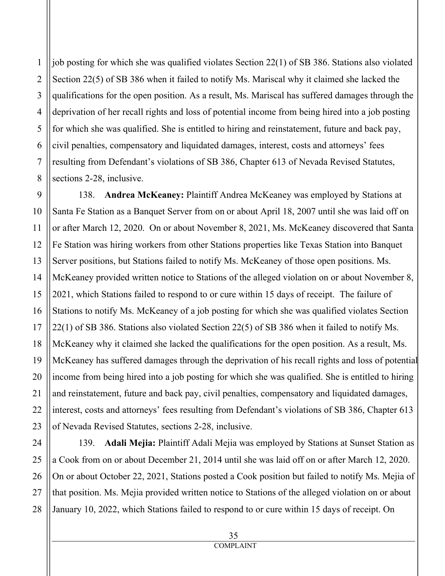job posting for which she was qualified violates Section 22(1) of SB 386. Stations also violated Section 22(5) of SB 386 when it failed to notify Ms. Mariscal why it claimed she lacked the qualifications for the open position. As a result, Ms. Mariscal has suffered damages through the deprivation of her recall rights and loss of potential income from being hired into a job posting for which she was qualified. She is entitled to hiring and reinstatement, future and back pay, civil penalties, compensatory and liquidated damages, interest, costs and attorneys' fees resulting from Defendant's violations of SB 386, Chapter 613 of Nevada Revised Statutes, sections 2-28, inclusive.

138. **Andrea McKeaney:** Plaintiff Andrea McKeaney was employed by Stations at Santa Fe Station as a Banquet Server from on or about April 18, 2007 until she was laid off on or after March 12, 2020. On or about November 8, 2021, Ms. McKeaney discovered that Santa Fe Station was hiring workers from other Stations properties like Texas Station into Banquet Server positions, but Stations failed to notify Ms. McKeaney of those open positions. Ms. McKeaney provided written notice to Stations of the alleged violation on or about November 8, 2021, which Stations failed to respond to or cure within 15 days of receipt. The failure of Stations to notify Ms. McKeaney of a job posting for which she was qualified violates Section 22(1) of SB 386. Stations also violated Section 22(5) of SB 386 when it failed to notify Ms. McKeaney why it claimed she lacked the qualifications for the open position. As a result, Ms. McKeaney has suffered damages through the deprivation of his recall rights and loss of potential income from being hired into a job posting for which she was qualified. She is entitled to hiring and reinstatement, future and back pay, civil penalties, compensatory and liquidated damages, interest, costs and attorneys' fees resulting from Defendant's violations of SB 386, Chapter 613 of Nevada Revised Statutes, sections 2-28, inclusive.

139. **Adali Mejia:** Plaintiff Adali Mejia was employed by Stations at Sunset Station as a Cook from on or about December 21, 2014 until she was laid off on or after March 12, 2020. On or about October 22, 2021, Stations posted a Cook position but failed to notify Ms. Mejia of that position. Ms. Mejia provided written notice to Stations of the alleged violation on or about January 10, 2022, which Stations failed to respond to or cure within 15 days of receipt. On

1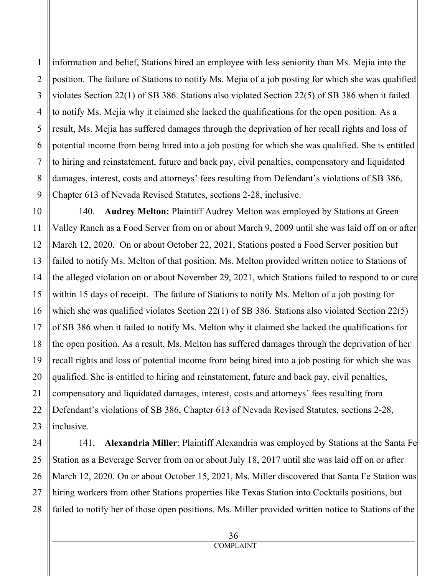information and belief, Stations hired an employee with less seniority than Ms. Mejia into the position. The failure of Stations to notify Ms. Mejia of a job posting for which she was qualified violates Section 22(1) of SB 386. Stations also violated Section 22(5) of SB 386 when it failed to notify Ms. Mejia why it claimed she lacked the qualifications for the open position. As a result, Ms. Mejia has suffered damages through the deprivation of her recall rights and loss of potential income from being hired into a job posting for which she was qualified. She is entitled to hiring and reinstatement, future and back pay, civil penalties, compensatory and liquidated damages, interest, costs and attorneys' fees resulting from Defendant's violations of SB 386, Chapter 613 of Nevada Revised Statutes, sections 2-28, inclusive.

140. **Audrey Melton:** Plaintiff Audrey Melton was employed by Stations at Green Valley Ranch as a Food Server from on or about March 9, 2009 until she was laid off on or after March 12, 2020. On or about October 22, 2021, Stations posted a Food Server position but failed to notify Ms. Melton of that position. Ms. Melton provided written notice to Stations of the alleged violation on or about November 29, 2021, which Stations failed to respond to or cure within 15 days of receipt. The failure of Stations to notify Ms. Melton of a job posting for which she was qualified violates Section 22(1) of SB 386. Stations also violated Section 22(5) of SB 386 when it failed to notify Ms. Melton why it claimed she lacked the qualifications for the open position. As a result, Ms. Melton has suffered damages through the deprivation of her recall rights and loss of potential income from being hired into a job posting for which she was qualified. She is entitled to hiring and reinstatement, future and back pay, civil penalties, compensatory and liquidated damages, interest, costs and attorneys' fees resulting from Defendant's violations of SB 386, Chapter 613 of Nevada Revised Statutes, sections 2-28, inclusive.

141. **Alexandria Miller**: Plaintiff Alexandria was employed by Stations at the Santa Fe Station as a Beverage Server from on or about July 18, 2017 until she was laid off on or after March 12, 2020. On or about October 15, 2021, Ms. Miller discovered that Santa Fe Station was hiring workers from other Stations properties like Texas Station into Cocktails positions, but failed to notify her of those open positions. Ms. Miller provided written notice to Stations of the

1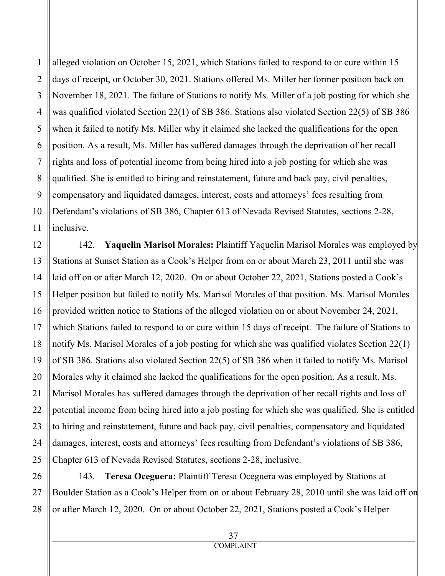alleged violation on October 15, 2021, which Stations failed to respond to or cure within 15 days of receipt, or October 30, 2021. Stations offered Ms. Miller her former position back on November 18, 2021. The failure of Stations to notify Ms. Miller of a job posting for which she was qualified violated Section 22(1) of SB 386. Stations also violated Section 22(5) of SB 386 when it failed to notify Ms. Miller why it claimed she lacked the qualifications for the open position. As a result, Ms. Miller has suffered damages through the deprivation of her recall rights and loss of potential income from being hired into a job posting for which she was qualified. She is entitled to hiring and reinstatement, future and back pay, civil penalties, compensatory and liquidated damages, interest, costs and attorneys' fees resulting from Defendant's violations of SB 386, Chapter 613 of Nevada Revised Statutes, sections 2-28, inclusive.

142. **Yaquelin Marisol Morales:** Plaintiff Yaquelin Marisol Morales was employed by Stations at Sunset Station as a Cook's Helper from on or about March 23, 2011 until she was laid off on or after March 12, 2020. On or about October 22, 2021, Stations posted a Cook's Helper position but failed to notify Ms. Marisol Morales of that position. Ms. Marisol Morales provided written notice to Stations of the alleged violation on or about November 24, 2021, which Stations failed to respond to or cure within 15 days of receipt. The failure of Stations to notify Ms. Marisol Morales of a job posting for which she was qualified violates Section 22(1) of SB 386. Stations also violated Section 22(5) of SB 386 when it failed to notify Ms. Marisol Morales why it claimed she lacked the qualifications for the open position. As a result, Ms. Marisol Morales has suffered damages through the deprivation of her recall rights and loss of potential income from being hired into a job posting for which she was qualified. She is entitled to hiring and reinstatement, future and back pay, civil penalties, compensatory and liquidated damages, interest, costs and attorneys' fees resulting from Defendant's violations of SB 386, Chapter 613 of Nevada Revised Statutes, sections 2-28, inclusive.

143. **Teresa Oceguera:** Plaintiff Teresa Oceguera was employed by Stations at Boulder Station as a Cook's Helper from on or about February 28, 2010 until she was laid off on or after March 12, 2020. On or about October 22, 2021, Stations posted a Cook's Helper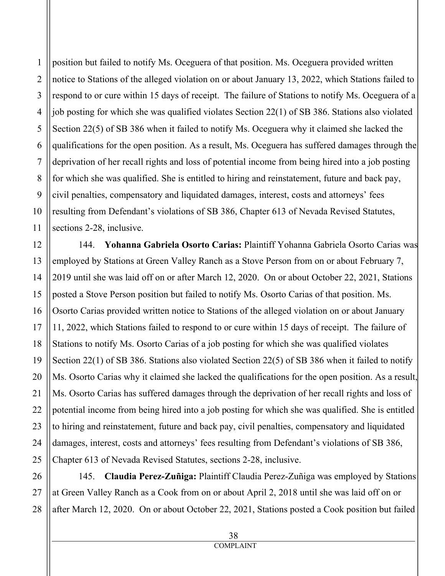position but failed to notify Ms. Oceguera of that position. Ms. Oceguera provided written notice to Stations of the alleged violation on or about January 13, 2022, which Stations failed to respond to or cure within 15 days of receipt. The failure of Stations to notify Ms. Oceguera of a job posting for which she was qualified violates Section 22(1) of SB 386. Stations also violated Section 22(5) of SB 386 when it failed to notify Ms. Oceguera why it claimed she lacked the qualifications for the open position. As a result, Ms. Oceguera has suffered damages through the deprivation of her recall rights and loss of potential income from being hired into a job posting for which she was qualified. She is entitled to hiring and reinstatement, future and back pay, civil penalties, compensatory and liquidated damages, interest, costs and attorneys' fees resulting from Defendant's violations of SB 386, Chapter 613 of Nevada Revised Statutes, sections 2-28, inclusive.

144. **Yohanna Gabriela Osorto Carias:** Plaintiff Yohanna Gabriela Osorto Carias was employed by Stations at Green Valley Ranch as a Stove Person from on or about February 7, 2019 until she was laid off on or after March 12, 2020. On or about October 22, 2021, Stations posted a Stove Person position but failed to notify Ms. Osorto Carias of that position. Ms. Osorto Carias provided written notice to Stations of the alleged violation on or about January 11, 2022, which Stations failed to respond to or cure within 15 days of receipt. The failure of Stations to notify Ms. Osorto Carias of a job posting for which she was qualified violates Section 22(1) of SB 386. Stations also violated Section 22(5) of SB 386 when it failed to notify Ms. Osorto Carias why it claimed she lacked the qualifications for the open position. As a result, Ms. Osorto Carias has suffered damages through the deprivation of her recall rights and loss of potential income from being hired into a job posting for which she was qualified. She is entitled to hiring and reinstatement, future and back pay, civil penalties, compensatory and liquidated damages, interest, costs and attorneys' fees resulting from Defendant's violations of SB 386, Chapter 613 of Nevada Revised Statutes, sections 2-28, inclusive.

145. **Claudia Perez-Zuñiga:** Plaintiff Claudia Perez-Zuñiga was employed by Stations at Green Valley Ranch as a Cook from on or about April 2, 2018 until she was laid off on or after March 12, 2020. On or about October 22, 2021, Stations posted a Cook position but failed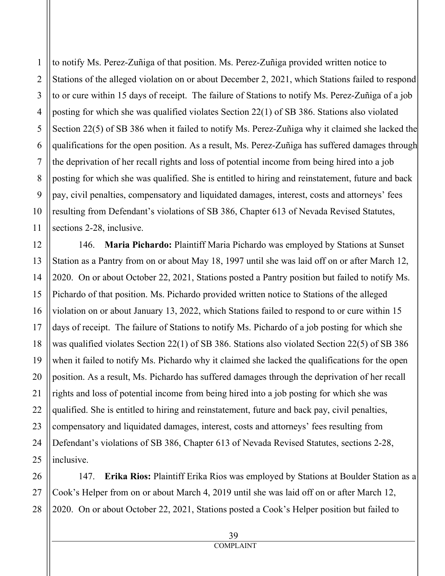to notify Ms. Perez-Zuñiga of that position. Ms. Perez-Zuñiga provided written notice to Stations of the alleged violation on or about December 2, 2021, which Stations failed to respond to or cure within 15 days of receipt. The failure of Stations to notify Ms. Perez-Zuñiga of a job posting for which she was qualified violates Section 22(1) of SB 386. Stations also violated Section 22(5) of SB 386 when it failed to notify Ms. Perez-Zuñiga why it claimed she lacked the qualifications for the open position. As a result, Ms. Perez-Zuñiga has suffered damages through the deprivation of her recall rights and loss of potential income from being hired into a job posting for which she was qualified. She is entitled to hiring and reinstatement, future and back pay, civil penalties, compensatory and liquidated damages, interest, costs and attorneys' fees resulting from Defendant's violations of SB 386, Chapter 613 of Nevada Revised Statutes, sections 2-28, inclusive.

146. **Maria Pichardo:** Plaintiff Maria Pichardo was employed by Stations at Sunset Station as a Pantry from on or about May 18, 1997 until she was laid off on or after March 12, 2020. On or about October 22, 2021, Stations posted a Pantry position but failed to notify Ms. Pichardo of that position. Ms. Pichardo provided written notice to Stations of the alleged violation on or about January 13, 2022, which Stations failed to respond to or cure within 15 days of receipt. The failure of Stations to notify Ms. Pichardo of a job posting for which she was qualified violates Section 22(1) of SB 386. Stations also violated Section 22(5) of SB 386 when it failed to notify Ms. Pichardo why it claimed she lacked the qualifications for the open position. As a result, Ms. Pichardo has suffered damages through the deprivation of her recall rights and loss of potential income from being hired into a job posting for which she was qualified. She is entitled to hiring and reinstatement, future and back pay, civil penalties, compensatory and liquidated damages, interest, costs and attorneys' fees resulting from Defendant's violations of SB 386, Chapter 613 of Nevada Revised Statutes, sections 2-28, inclusive.

147. **Erika Rios:** Plaintiff Erika Rios was employed by Stations at Boulder Station as a Cook's Helper from on or about March 4, 2019 until she was laid off on or after March 12, 2020. On or about October 22, 2021, Stations posted a Cook's Helper position but failed to

1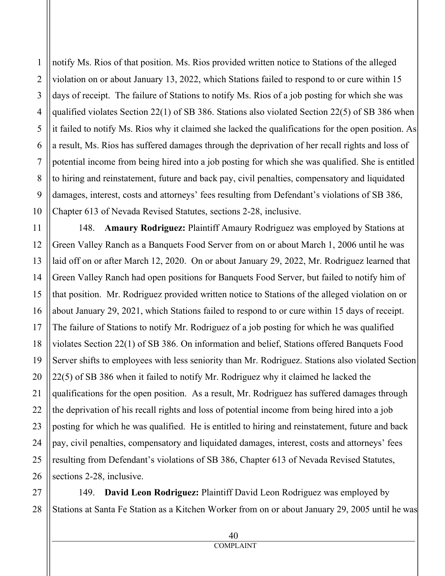notify Ms. Rios of that position. Ms. Rios provided written notice to Stations of the alleged violation on or about January 13, 2022, which Stations failed to respond to or cure within 15 days of receipt. The failure of Stations to notify Ms. Rios of a job posting for which she was qualified violates Section 22(1) of SB 386. Stations also violated Section 22(5) of SB 386 when it failed to notify Ms. Rios why it claimed she lacked the qualifications for the open position. As a result, Ms. Rios has suffered damages through the deprivation of her recall rights and loss of potential income from being hired into a job posting for which she was qualified. She is entitled to hiring and reinstatement, future and back pay, civil penalties, compensatory and liquidated damages, interest, costs and attorneys' fees resulting from Defendant's violations of SB 386, Chapter 613 of Nevada Revised Statutes, sections 2-28, inclusive.

148. **Amaury Rodriguez:** Plaintiff Amaury Rodriguez was employed by Stations at Green Valley Ranch as a Banquets Food Server from on or about March 1, 2006 until he was laid off on or after March 12, 2020. On or about January 29, 2022, Mr. Rodriguez learned that Green Valley Ranch had open positions for Banquets Food Server, but failed to notify him of that position. Mr. Rodriguez provided written notice to Stations of the alleged violation on or about January 29, 2021, which Stations failed to respond to or cure within 15 days of receipt. The failure of Stations to notify Mr. Rodriguez of a job posting for which he was qualified violates Section 22(1) of SB 386. On information and belief, Stations offered Banquets Food Server shifts to employees with less seniority than Mr. Rodriguez. Stations also violated Section 22(5) of SB 386 when it failed to notify Mr. Rodriguez why it claimed he lacked the qualifications for the open position. As a result, Mr. Rodriguez has suffered damages through the deprivation of his recall rights and loss of potential income from being hired into a job posting for which he was qualified. He is entitled to hiring and reinstatement, future and back pay, civil penalties, compensatory and liquidated damages, interest, costs and attorneys' fees resulting from Defendant's violations of SB 386, Chapter 613 of Nevada Revised Statutes, sections 2-28, inclusive.

149. **David Leon Rodriguez:** Plaintiff David Leon Rodriguez was employed by Stations at Santa Fe Station as a Kitchen Worker from on or about January 29, 2005 until he was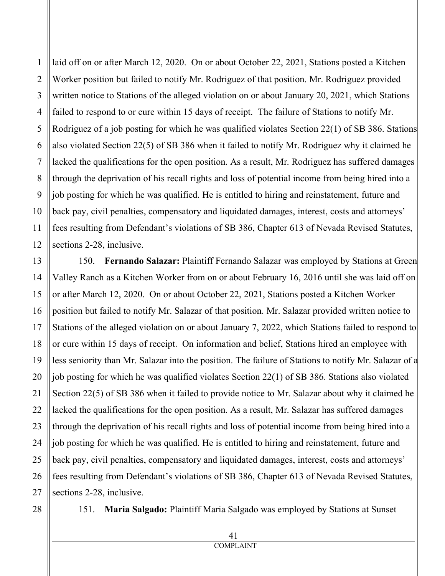laid off on or after March 12, 2020. On or about October 22, 2021, Stations posted a Kitchen Worker position but failed to notify Mr. Rodriguez of that position. Mr. Rodriguez provided written notice to Stations of the alleged violation on or about January 20, 2021, which Stations failed to respond to or cure within 15 days of receipt. The failure of Stations to notify Mr. Rodriguez of a job posting for which he was qualified violates Section 22(1) of SB 386. Stations also violated Section 22(5) of SB 386 when it failed to notify Mr. Rodriguez why it claimed he lacked the qualifications for the open position. As a result, Mr. Rodriguez has suffered damages through the deprivation of his recall rights and loss of potential income from being hired into a job posting for which he was qualified. He is entitled to hiring and reinstatement, future and back pay, civil penalties, compensatory and liquidated damages, interest, costs and attorneys' fees resulting from Defendant's violations of SB 386, Chapter 613 of Nevada Revised Statutes, sections 2-28, inclusive.

150. **Fernando Salazar:** Plaintiff Fernando Salazar was employed by Stations at Green Valley Ranch as a Kitchen Worker from on or about February 16, 2016 until she was laid off on or after March 12, 2020. On or about October 22, 2021, Stations posted a Kitchen Worker position but failed to notify Mr. Salazar of that position. Mr. Salazar provided written notice to Stations of the alleged violation on or about January 7, 2022, which Stations failed to respond to or cure within 15 days of receipt. On information and belief, Stations hired an employee with less seniority than Mr. Salazar into the position. The failure of Stations to notify Mr. Salazar of a job posting for which he was qualified violates Section 22(1) of SB 386. Stations also violated Section 22(5) of SB 386 when it failed to provide notice to Mr. Salazar about why it claimed he lacked the qualifications for the open position. As a result, Mr. Salazar has suffered damages through the deprivation of his recall rights and loss of potential income from being hired into a job posting for which he was qualified. He is entitled to hiring and reinstatement, future and back pay, civil penalties, compensatory and liquidated damages, interest, costs and attorneys' fees resulting from Defendant's violations of SB 386, Chapter 613 of Nevada Revised Statutes, sections 2-28, inclusive.

28

1

2

3

4

5

6

7

8

9

10

11

12

13

14

15

16

17

18

19

20

21

22

23

24

25

26

27

151. **Maria Salgado:** Plaintiff Maria Salgado was employed by Stations at Sunset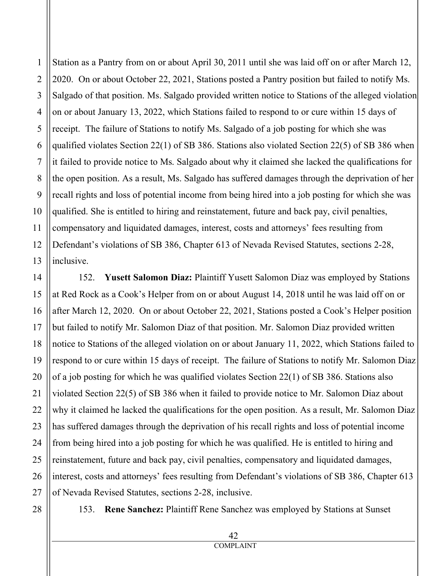1 2 3 4 5 6 7 8 9 10 11 12 13 14 15 16 17 18 19 20 Station as a Pantry from on or about April 30, 2011 until she was laid off on or after March 12, 2020. On or about October 22, 2021, Stations posted a Pantry position but failed to notify Ms. Salgado of that position. Ms. Salgado provided written notice to Stations of the alleged violation on or about January 13, 2022, which Stations failed to respond to or cure within 15 days of receipt. The failure of Stations to notify Ms. Salgado of a job posting for which she was qualified violates Section 22(1) of SB 386. Stations also violated Section 22(5) of SB 386 when it failed to provide notice to Ms. Salgado about why it claimed she lacked the qualifications for the open position. As a result, Ms. Salgado has suffered damages through the deprivation of her recall rights and loss of potential income from being hired into a job posting for which she was qualified. She is entitled to hiring and reinstatement, future and back pay, civil penalties, compensatory and liquidated damages, interest, costs and attorneys' fees resulting from Defendant's violations of SB 386, Chapter 613 of Nevada Revised Statutes, sections 2-28, inclusive. 152. **Yusett Salomon Diaz:** Plaintiff Yusett Salomon Diaz was employed by Stations at Red Rock as a Cook's Helper from on or about August 14, 2018 until he was laid off on or

after March 12, 2020. On or about October 22, 2021, Stations posted a Cook's Helper position but failed to notify Mr. Salomon Diaz of that position. Mr. Salomon Diaz provided written notice to Stations of the alleged violation on or about January 11, 2022, which Stations failed to respond to or cure within 15 days of receipt. The failure of Stations to notify Mr. Salomon Diaz of a job posting for which he was qualified violates Section 22(1) of SB 386. Stations also violated Section 22(5) of SB 386 when it failed to provide notice to Mr. Salomon Diaz about why it claimed he lacked the qualifications for the open position. As a result, Mr. Salomon Diaz has suffered damages through the deprivation of his recall rights and loss of potential income from being hired into a job posting for which he was qualified. He is entitled to hiring and reinstatement, future and back pay, civil penalties, compensatory and liquidated damages, interest, costs and attorneys' fees resulting from Defendant's violations of SB 386, Chapter 613 of Nevada Revised Statutes, sections 2-28, inclusive.

28

21

22

23

24

25

26

27

153. **Rene Sanchez:** Plaintiff Rene Sanchez was employed by Stations at Sunset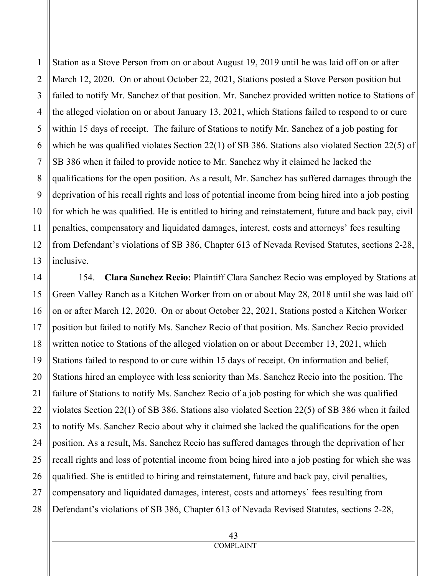4 6 8 9 10 13 Station as a Stove Person from on or about August 19, 2019 until he was laid off on or after March 12, 2020. On or about October 22, 2021, Stations posted a Stove Person position but failed to notify Mr. Sanchez of that position. Mr. Sanchez provided written notice to Stations of the alleged violation on or about January 13, 2021, which Stations failed to respond to or cure within 15 days of receipt. The failure of Stations to notify Mr. Sanchez of a job posting for which he was qualified violates Section 22(1) of SB 386. Stations also violated Section 22(5) of SB 386 when it failed to provide notice to Mr. Sanchez why it claimed he lacked the qualifications for the open position. As a result, Mr. Sanchez has suffered damages through the deprivation of his recall rights and loss of potential income from being hired into a job posting for which he was qualified. He is entitled to hiring and reinstatement, future and back pay, civil penalties, compensatory and liquidated damages, interest, costs and attorneys' fees resulting from Defendant's violations of SB 386, Chapter 613 of Nevada Revised Statutes, sections 2-28, inclusive.

154. **Clara Sanchez Recio:** Plaintiff Clara Sanchez Recio was employed by Stations at Green Valley Ranch as a Kitchen Worker from on or about May 28, 2018 until she was laid off on or after March 12, 2020. On or about October 22, 2021, Stations posted a Kitchen Worker position but failed to notify Ms. Sanchez Recio of that position. Ms. Sanchez Recio provided written notice to Stations of the alleged violation on or about December 13, 2021, which Stations failed to respond to or cure within 15 days of receipt. On information and belief, Stations hired an employee with less seniority than Ms. Sanchez Recio into the position. The failure of Stations to notify Ms. Sanchez Recio of a job posting for which she was qualified violates Section 22(1) of SB 386. Stations also violated Section 22(5) of SB 386 when it failed to notify Ms. Sanchez Recio about why it claimed she lacked the qualifications for the open position. As a result, Ms. Sanchez Recio has suffered damages through the deprivation of her recall rights and loss of potential income from being hired into a job posting for which she was qualified. She is entitled to hiring and reinstatement, future and back pay, civil penalties, compensatory and liquidated damages, interest, costs and attorneys' fees resulting from Defendant's violations of SB 386, Chapter 613 of Nevada Revised Statutes, sections 2-28,

1

2

3

5

7

11

12

14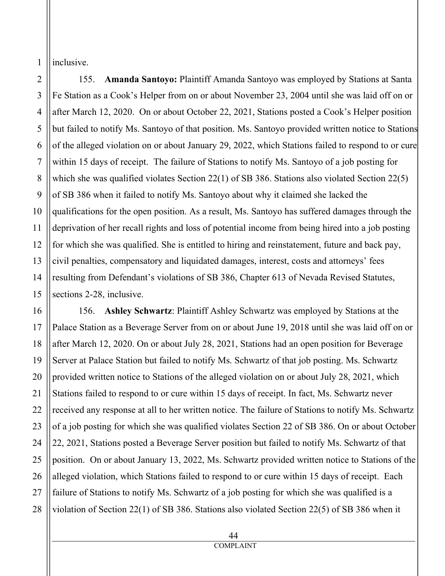1 inclusive.

2

155. **Amanda Santoyo:** Plaintiff Amanda Santoyo was employed by Stations at Santa Fe Station as a Cook's Helper from on or about November 23, 2004 until she was laid off on or after March 12, 2020. On or about October 22, 2021, Stations posted a Cook's Helper position but failed to notify Ms. Santoyo of that position. Ms. Santoyo provided written notice to Stations of the alleged violation on or about January 29, 2022, which Stations failed to respond to or cure within 15 days of receipt. The failure of Stations to notify Ms. Santoyo of a job posting for which she was qualified violates Section 22(1) of SB 386. Stations also violated Section 22(5) of SB 386 when it failed to notify Ms. Santoyo about why it claimed she lacked the qualifications for the open position. As a result, Ms. Santoyo has suffered damages through the deprivation of her recall rights and loss of potential income from being hired into a job posting for which she was qualified. She is entitled to hiring and reinstatement, future and back pay, civil penalties, compensatory and liquidated damages, interest, costs and attorneys' fees resulting from Defendant's violations of SB 386, Chapter 613 of Nevada Revised Statutes, sections 2-28, inclusive.

156. **Ashley Schwartz**: Plaintiff Ashley Schwartz was employed by Stations at the Palace Station as a Beverage Server from on or about June 19, 2018 until she was laid off on or after March 12, 2020. On or about July 28, 2021, Stations had an open position for Beverage Server at Palace Station but failed to notify Ms. Schwartz of that job posting. Ms. Schwartz provided written notice to Stations of the alleged violation on or about July 28, 2021, which Stations failed to respond to or cure within 15 days of receipt. In fact, Ms. Schwartz never received any response at all to her written notice. The failure of Stations to notify Ms. Schwartz of a job posting for which she was qualified violates Section 22 of SB 386. On or about October 22, 2021, Stations posted a Beverage Server position but failed to notify Ms. Schwartz of that position. On or about January 13, 2022, Ms. Schwartz provided written notice to Stations of the alleged violation, which Stations failed to respond to or cure within 15 days of receipt. Each failure of Stations to notify Ms. Schwartz of a job posting for which she was qualified is a violation of Section 22(1) of SB 386. Stations also violated Section 22(5) of SB 386 when it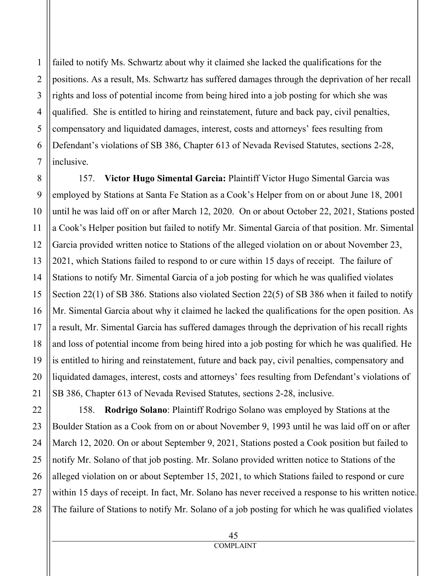failed to notify Ms. Schwartz about why it claimed she lacked the qualifications for the positions. As a result, Ms. Schwartz has suffered damages through the deprivation of her recall rights and loss of potential income from being hired into a job posting for which she was qualified. She is entitled to hiring and reinstatement, future and back pay, civil penalties, compensatory and liquidated damages, interest, costs and attorneys' fees resulting from Defendant's violations of SB 386, Chapter 613 of Nevada Revised Statutes, sections 2-28, inclusive.

157. **Victor Hugo Simental Garcia:** Plaintiff Victor Hugo Simental Garcia was employed by Stations at Santa Fe Station as a Cook's Helper from on or about June 18, 2001 until he was laid off on or after March 12, 2020. On or about October 22, 2021, Stations posted a Cook's Helper position but failed to notify Mr. Simental Garcia of that position. Mr. Simental Garcia provided written notice to Stations of the alleged violation on or about November 23, 2021, which Stations failed to respond to or cure within 15 days of receipt. The failure of Stations to notify Mr. Simental Garcia of a job posting for which he was qualified violates Section 22(1) of SB 386. Stations also violated Section 22(5) of SB 386 when it failed to notify Mr. Simental Garcia about why it claimed he lacked the qualifications for the open position. As a result, Mr. Simental Garcia has suffered damages through the deprivation of his recall rights and loss of potential income from being hired into a job posting for which he was qualified. He is entitled to hiring and reinstatement, future and back pay, civil penalties, compensatory and liquidated damages, interest, costs and attorneys' fees resulting from Defendant's violations of SB 386, Chapter 613 of Nevada Revised Statutes, sections 2-28, inclusive.

158. **Rodrigo Solano**: Plaintiff Rodrigo Solano was employed by Stations at the Boulder Station as a Cook from on or about November 9, 1993 until he was laid off on or after March 12, 2020. On or about September 9, 2021, Stations posted a Cook position but failed to notify Mr. Solano of that job posting. Mr. Solano provided written notice to Stations of the alleged violation on or about September 15, 2021, to which Stations failed to respond or cure within 15 days of receipt. In fact, Mr. Solano has never received a response to his written notice. The failure of Stations to notify Mr. Solano of a job posting for which he was qualified violates

1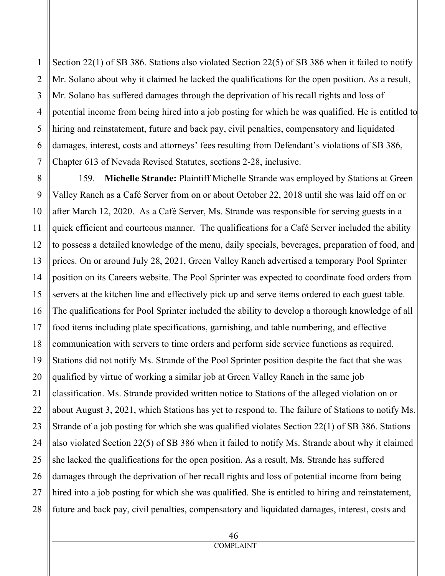Section 22(1) of SB 386. Stations also violated Section 22(5) of SB 386 when it failed to notify Mr. Solano about why it claimed he lacked the qualifications for the open position. As a result, Mr. Solano has suffered damages through the deprivation of his recall rights and loss of potential income from being hired into a job posting for which he was qualified. He is entitled to hiring and reinstatement, future and back pay, civil penalties, compensatory and liquidated damages, interest, costs and attorneys' fees resulting from Defendant's violations of SB 386, Chapter 613 of Nevada Revised Statutes, sections 2-28, inclusive.

159. **Michelle Strande:** Plaintiff Michelle Strande was employed by Stations at Green Valley Ranch as a Café Server from on or about October 22, 2018 until she was laid off on or after March 12, 2020. As a Café Server, Ms. Strande was responsible for serving guests in a quick efficient and courteous manner. The qualifications for a Café Server included the ability to possess a detailed knowledge of the menu, daily specials, beverages, preparation of food, and prices. On or around July 28, 2021, Green Valley Ranch advertised a temporary Pool Sprinter position on its Careers website. The Pool Sprinter was expected to coordinate food orders from servers at the kitchen line and effectively pick up and serve items ordered to each guest table. The qualifications for Pool Sprinter included the ability to develop a thorough knowledge of all food items including plate specifications, garnishing, and table numbering, and effective communication with servers to time orders and perform side service functions as required. Stations did not notify Ms. Strande of the Pool Sprinter position despite the fact that she was qualified by virtue of working a similar job at Green Valley Ranch in the same job classification. Ms. Strande provided written notice to Stations of the alleged violation on or about August 3, 2021, which Stations has yet to respond to. The failure of Stations to notify Ms. Strande of a job posting for which she was qualified violates Section 22(1) of SB 386. Stations also violated Section 22(5) of SB 386 when it failed to notify Ms. Strande about why it claimed she lacked the qualifications for the open position. As a result, Ms. Strande has suffered damages through the deprivation of her recall rights and loss of potential income from being hired into a job posting for which she was qualified. She is entitled to hiring and reinstatement, future and back pay, civil penalties, compensatory and liquidated damages, interest, costs and

1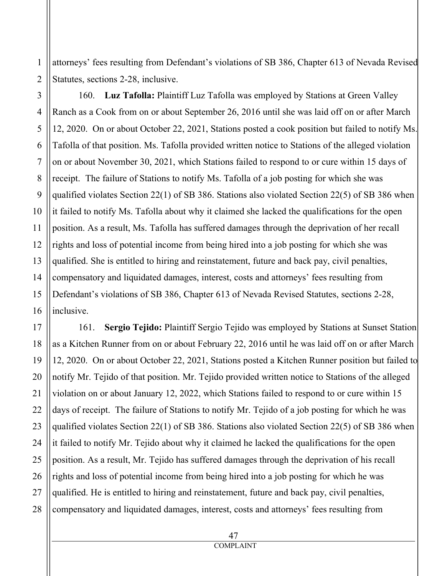attorneys' fees resulting from Defendant's violations of SB 386, Chapter 613 of Nevada Revised Statutes, sections 2-28, inclusive.

160. **Luz Tafolla:** Plaintiff Luz Tafolla was employed by Stations at Green Valley Ranch as a Cook from on or about September 26, 2016 until she was laid off on or after March 12, 2020. On or about October 22, 2021, Stations posted a cook position but failed to notify Ms. Tafolla of that position. Ms. Tafolla provided written notice to Stations of the alleged violation on or about November 30, 2021, which Stations failed to respond to or cure within 15 days of receipt. The failure of Stations to notify Ms. Tafolla of a job posting for which she was qualified violates Section 22(1) of SB 386. Stations also violated Section 22(5) of SB 386 when it failed to notify Ms. Tafolla about why it claimed she lacked the qualifications for the open position. As a result, Ms. Tafolla has suffered damages through the deprivation of her recall rights and loss of potential income from being hired into a job posting for which she was qualified. She is entitled to hiring and reinstatement, future and back pay, civil penalties, compensatory and liquidated damages, interest, costs and attorneys' fees resulting from Defendant's violations of SB 386, Chapter 613 of Nevada Revised Statutes, sections 2-28, inclusive.

161. **Sergio Tejido:** Plaintiff Sergio Tejido was employed by Stations at Sunset Station as a Kitchen Runner from on or about February 22, 2016 until he was laid off on or after March 12, 2020. On or about October 22, 2021, Stations posted a Kitchen Runner position but failed to notify Mr. Tejido of that position. Mr. Tejido provided written notice to Stations of the alleged violation on or about January 12, 2022, which Stations failed to respond to or cure within 15 days of receipt. The failure of Stations to notify Mr. Tejido of a job posting for which he was qualified violates Section 22(1) of SB 386. Stations also violated Section 22(5) of SB 386 when it failed to notify Mr. Tejido about why it claimed he lacked the qualifications for the open position. As a result, Mr. Tejido has suffered damages through the deprivation of his recall rights and loss of potential income from being hired into a job posting for which he was qualified. He is entitled to hiring and reinstatement, future and back pay, civil penalties, compensatory and liquidated damages, interest, costs and attorneys' fees resulting from

1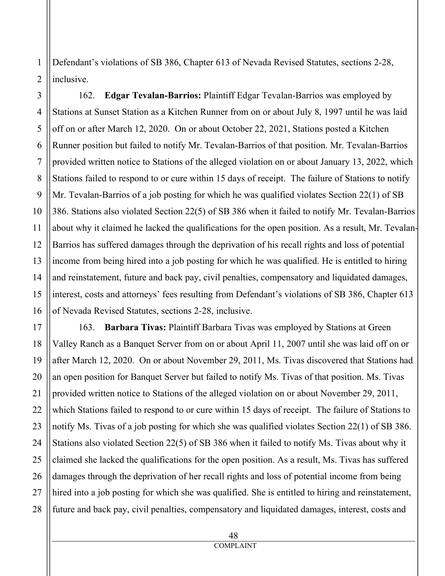Defendant's violations of SB 386, Chapter 613 of Nevada Revised Statutes, sections 2-28, inclusive.

162. **Edgar Tevalan-Barrios:** Plaintiff Edgar Tevalan-Barrios was employed by Stations at Sunset Station as a Kitchen Runner from on or about July 8, 1997 until he was laid off on or after March 12, 2020. On or about October 22, 2021, Stations posted a Kitchen Runner position but failed to notify Mr. Tevalan-Barrios of that position. Mr. Tevalan-Barrios provided written notice to Stations of the alleged violation on or about January 13, 2022, which Stations failed to respond to or cure within 15 days of receipt. The failure of Stations to notify Mr. Tevalan-Barrios of a job posting for which he was qualified violates Section 22(1) of SB 386. Stations also violated Section 22(5) of SB 386 when it failed to notify Mr. Tevalan-Barrios about why it claimed he lacked the qualifications for the open position. As a result, Mr. Tevalan-Barrios has suffered damages through the deprivation of his recall rights and loss of potential income from being hired into a job posting for which he was qualified. He is entitled to hiring and reinstatement, future and back pay, civil penalties, compensatory and liquidated damages, interest, costs and attorneys' fees resulting from Defendant's violations of SB 386, Chapter 613 of Nevada Revised Statutes, sections 2-28, inclusive.

163. **Barbara Tivas:** Plaintiff Barbara Tivas was employed by Stations at Green Valley Ranch as a Banquet Server from on or about April 11, 2007 until she was laid off on or after March 12, 2020. On or about November 29, 2011, Ms. Tivas discovered that Stations had an open position for Banquet Server but failed to notify Ms. Tivas of that position. Ms. Tivas provided written notice to Stations of the alleged violation on or about November 29, 2011, which Stations failed to respond to or cure within 15 days of receipt. The failure of Stations to notify Ms. Tivas of a job posting for which she was qualified violates Section 22(1) of SB 386. Stations also violated Section 22(5) of SB 386 when it failed to notify Ms. Tivas about why it claimed she lacked the qualifications for the open position. As a result, Ms. Tivas has suffered damages through the deprivation of her recall rights and loss of potential income from being hired into a job posting for which she was qualified. She is entitled to hiring and reinstatement, future and back pay, civil penalties, compensatory and liquidated damages, interest, costs and

1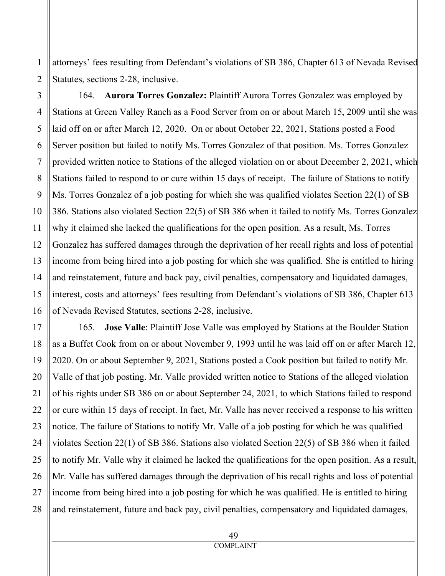attorneys' fees resulting from Defendant's violations of SB 386, Chapter 613 of Nevada Revised Statutes, sections 2-28, inclusive.

164. **Aurora Torres Gonzalez:** Plaintiff Aurora Torres Gonzalez was employed by Stations at Green Valley Ranch as a Food Server from on or about March 15, 2009 until she was laid off on or after March 12, 2020. On or about October 22, 2021, Stations posted a Food Server position but failed to notify Ms. Torres Gonzalez of that position. Ms. Torres Gonzalez provided written notice to Stations of the alleged violation on or about December 2, 2021, which Stations failed to respond to or cure within 15 days of receipt. The failure of Stations to notify Ms. Torres Gonzalez of a job posting for which she was qualified violates Section 22(1) of SB 386. Stations also violated Section 22(5) of SB 386 when it failed to notify Ms. Torres Gonzalez why it claimed she lacked the qualifications for the open position. As a result, Ms. Torres Gonzalez has suffered damages through the deprivation of her recall rights and loss of potential income from being hired into a job posting for which she was qualified. She is entitled to hiring and reinstatement, future and back pay, civil penalties, compensatory and liquidated damages, interest, costs and attorneys' fees resulting from Defendant's violations of SB 386, Chapter 613 of Nevada Revised Statutes, sections 2-28, inclusive.

165. **Jose Valle**: Plaintiff Jose Valle was employed by Stations at the Boulder Station as a Buffet Cook from on or about November 9, 1993 until he was laid off on or after March 12, 2020. On or about September 9, 2021, Stations posted a Cook position but failed to notify Mr. Valle of that job posting. Mr. Valle provided written notice to Stations of the alleged violation of his rights under SB 386 on or about September 24, 2021, to which Stations failed to respond or cure within 15 days of receipt. In fact, Mr. Valle has never received a response to his written notice. The failure of Stations to notify Mr. Valle of a job posting for which he was qualified violates Section 22(1) of SB 386. Stations also violated Section 22(5) of SB 386 when it failed to notify Mr. Valle why it claimed he lacked the qualifications for the open position. As a result, Mr. Valle has suffered damages through the deprivation of his recall rights and loss of potential income from being hired into a job posting for which he was qualified. He is entitled to hiring and reinstatement, future and back pay, civil penalties, compensatory and liquidated damages,

1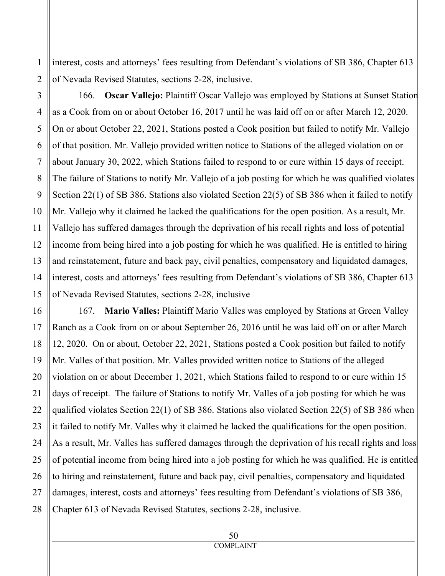interest, costs and attorneys' fees resulting from Defendant's violations of SB 386, Chapter 613 of Nevada Revised Statutes, sections 2-28, inclusive.

1

166. **Oscar Vallejo:** Plaintiff Oscar Vallejo was employed by Stations at Sunset Station as a Cook from on or about October 16, 2017 until he was laid off on or after March 12, 2020. On or about October 22, 2021, Stations posted a Cook position but failed to notify Mr. Vallejo of that position. Mr. Vallejo provided written notice to Stations of the alleged violation on or about January 30, 2022, which Stations failed to respond to or cure within 15 days of receipt. The failure of Stations to notify Mr. Vallejo of a job posting for which he was qualified violates Section 22(1) of SB 386. Stations also violated Section 22(5) of SB 386 when it failed to notify Mr. Vallejo why it claimed he lacked the qualifications for the open position. As a result, Mr. Vallejo has suffered damages through the deprivation of his recall rights and loss of potential income from being hired into a job posting for which he was qualified. He is entitled to hiring and reinstatement, future and back pay, civil penalties, compensatory and liquidated damages, interest, costs and attorneys' fees resulting from Defendant's violations of SB 386, Chapter 613 of Nevada Revised Statutes, sections 2-28, inclusive

167. **Mario Valles:** Plaintiff Mario Valles was employed by Stations at Green Valley Ranch as a Cook from on or about September 26, 2016 until he was laid off on or after March 12, 2020. On or about, October 22, 2021, Stations posted a Cook position but failed to notify Mr. Valles of that position. Mr. Valles provided written notice to Stations of the alleged violation on or about December 1, 2021, which Stations failed to respond to or cure within 15 days of receipt. The failure of Stations to notify Mr. Valles of a job posting for which he was qualified violates Section 22(1) of SB 386. Stations also violated Section 22(5) of SB 386 when it failed to notify Mr. Valles why it claimed he lacked the qualifications for the open position. As a result, Mr. Valles has suffered damages through the deprivation of his recall rights and loss of potential income from being hired into a job posting for which he was qualified. He is entitled to hiring and reinstatement, future and back pay, civil penalties, compensatory and liquidated damages, interest, costs and attorneys' fees resulting from Defendant's violations of SB 386, Chapter 613 of Nevada Revised Statutes, sections 2-28, inclusive.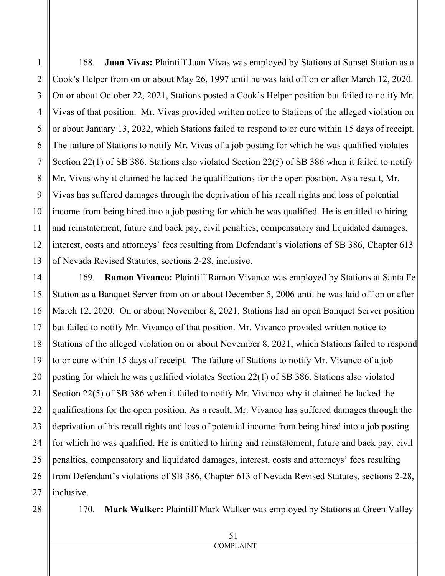1

2

168. **Juan Vivas:** Plaintiff Juan Vivas was employed by Stations at Sunset Station as a Cook's Helper from on or about May 26, 1997 until he was laid off on or after March 12, 2020. On or about October 22, 2021, Stations posted a Cook's Helper position but failed to notify Mr. Vivas of that position. Mr. Vivas provided written notice to Stations of the alleged violation on or about January 13, 2022, which Stations failed to respond to or cure within 15 days of receipt. The failure of Stations to notify Mr. Vivas of a job posting for which he was qualified violates Section 22(1) of SB 386. Stations also violated Section 22(5) of SB 386 when it failed to notify Mr. Vivas why it claimed he lacked the qualifications for the open position. As a result, Mr. Vivas has suffered damages through the deprivation of his recall rights and loss of potential income from being hired into a job posting for which he was qualified. He is entitled to hiring and reinstatement, future and back pay, civil penalties, compensatory and liquidated damages, interest, costs and attorneys' fees resulting from Defendant's violations of SB 386, Chapter 613 of Nevada Revised Statutes, sections 2-28, inclusive.

169. **Ramon Vivanco:** Plaintiff Ramon Vivanco was employed by Stations at Santa Fe Station as a Banquet Server from on or about December 5, 2006 until he was laid off on or after March 12, 2020. On or about November 8, 2021, Stations had an open Banquet Server position but failed to notify Mr. Vivanco of that position. Mr. Vivanco provided written notice to Stations of the alleged violation on or about November 8, 2021, which Stations failed to respond to or cure within 15 days of receipt. The failure of Stations to notify Mr. Vivanco of a job posting for which he was qualified violates Section 22(1) of SB 386. Stations also violated Section 22(5) of SB 386 when it failed to notify Mr. Vivanco why it claimed he lacked the qualifications for the open position. As a result, Mr. Vivanco has suffered damages through the deprivation of his recall rights and loss of potential income from being hired into a job posting for which he was qualified. He is entitled to hiring and reinstatement, future and back pay, civil penalties, compensatory and liquidated damages, interest, costs and attorneys' fees resulting from Defendant's violations of SB 386, Chapter 613 of Nevada Revised Statutes, sections 2-28, inclusive.

170. **Mark Walker:** Plaintiff Mark Walker was employed by Stations at Green Valley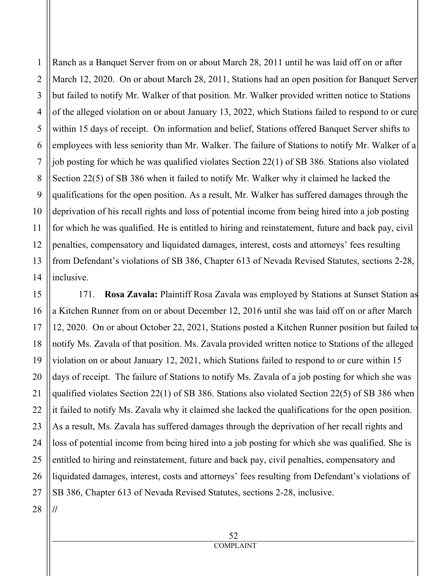Ranch as a Banquet Server from on or about March 28, 2011 until he was laid off on or after March 12, 2020. On or about March 28, 2011, Stations had an open position for Banquet Server but failed to notify Mr. Walker of that position. Mr. Walker provided written notice to Stations of the alleged violation on or about January 13, 2022, which Stations failed to respond to or cure within 15 days of receipt. On information and belief, Stations offered Banquet Server shifts to employees with less seniority than Mr. Walker. The failure of Stations to notify Mr. Walker of a job posting for which he was qualified violates Section 22(1) of SB 386. Stations also violated Section 22(5) of SB 386 when it failed to notify Mr. Walker why it claimed he lacked the qualifications for the open position. As a result, Mr. Walker has suffered damages through the deprivation of his recall rights and loss of potential income from being hired into a job posting for which he was qualified. He is entitled to hiring and reinstatement, future and back pay, civil penalties, compensatory and liquidated damages, interest, costs and attorneys' fees resulting from Defendant's violations of SB 386, Chapter 613 of Nevada Revised Statutes, sections 2-28, inclusive.

171. **Rosa Zavala:** Plaintiff Rosa Zavala was employed by Stations at Sunset Station as a Kitchen Runner from on or about December 12, 2016 until she was laid off on or after March 12, 2020. On or about October 22, 2021, Stations posted a Kitchen Runner position but failed to notify Ms. Zavala of that position. Ms. Zavala provided written notice to Stations of the alleged violation on or about January 12, 2021, which Stations failed to respond to or cure within 15 days of receipt. The failure of Stations to notify Ms. Zavala of a job posting for which she was qualified violates Section 22(1) of SB 386. Stations also violated Section 22(5) of SB 386 when it failed to notify Ms. Zavala why it claimed she lacked the qualifications for the open position. As a result, Ms. Zavala has suffered damages through the deprivation of her recall rights and loss of potential income from being hired into a job posting for which she was qualified. She is entitled to hiring and reinstatement, future and back pay, civil penalties, compensatory and liquidated damages, interest, costs and attorneys' fees resulting from Defendant's violations of SB 386, Chapter 613 of Nevada Revised Statutes, sections 2-28, inclusive.

28 **//**

1

2

3

4

5

6

7

8

9

10

11

12

13

14

15

16

17

18

19

20

21

22

23

24

25

26